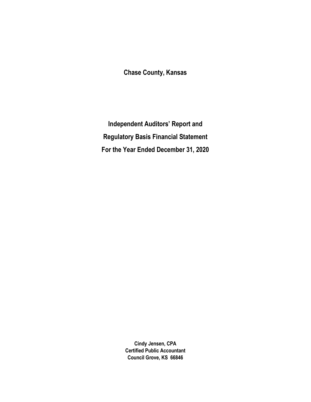Chase County, Kansas

Independent Auditors' Report and Regulatory Basis Financial Statement For the Year Ended December 31, 2020

> Cindy Jensen, CPA Certified Public Accountant Council Grove, KS 66846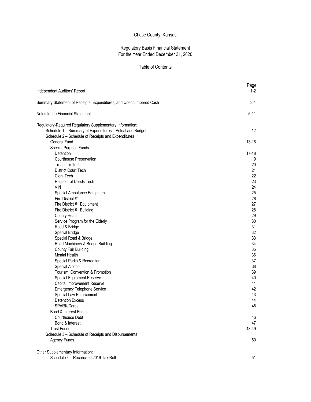# Chase County, Kansas

#### Regulatory Basis Financial Statement For the Year Ended December 31, 2020

## Table of Contents

| Independent Auditors' Report                                              | Page<br>1-2 |
|---------------------------------------------------------------------------|-------------|
| Summary Statement of Receipts, Expenditures, and Unencumbered Cash        | $3-4$       |
| Notes to the Financial Statement                                          | $5 - 11$    |
| Regulatory-Required Regulatory Supplementary Information:                 |             |
| Schedule 1 - Summary of Expenditures - Actual and Budget                  | 12          |
| Schedule 2 - Schedule of Receipts and Expenditures<br><b>General Fund</b> | $13 - 16$   |
| Special Purpose Funds:                                                    |             |
| Detention                                                                 | 17-18       |
| <b>Courthouse Preservation</b>                                            | 19          |
| <b>Treasurer Tech</b>                                                     | 20          |
| District Court Tech                                                       | 21          |
| Clerk Tech                                                                | 22          |
| Register of Deeds Tech                                                    | 23          |
| VIN                                                                       | 24          |
| Special Ambulance Equipment                                               | 25          |
| Fire District #1                                                          | 26          |
| Fire District #1 Equipment                                                | 27          |
| Fire District #1 Building                                                 | 28          |
| County Health                                                             | 29          |
| Service Program for the Elderly                                           | 30          |
| Road & Bridge                                                             | 31          |
| Special Bridge                                                            | 32          |
| Special Road & Bridge                                                     | 33          |
| Road Machinery & Bridge Building                                          | 34          |
| County Fair Building                                                      | 35          |
| <b>Mental Health</b>                                                      | 36          |
| Special Parks & Recreation                                                | 37          |
| Special Alcohol<br>Tourism, Convention & Promotion                        | 38<br>39    |
| Special Equipment Reserve                                                 | 40          |
| Capital Improvement Reserve                                               | 41          |
| <b>Emergency Telephone Service</b>                                        | 42          |
| Special Law Enforcement                                                   | 43          |
| <b>Detention Excess</b>                                                   | 44          |
| SPARK/Cares                                                               | 45          |
| Bond & Interest Funds                                                     |             |
| Courthouse Debt                                                           | 46          |
| Bond & Interest                                                           | 47          |
| <b>Trust Funds</b>                                                        | 48-49       |
| Schedule 3 - Schedule of Receipts and Disbursements                       |             |
| <b>Agency Funds</b>                                                       | 50          |
| Other Supplementary Information:                                          |             |
| Schedule 4 - Reconciled 2019 Tax Roll                                     | 51          |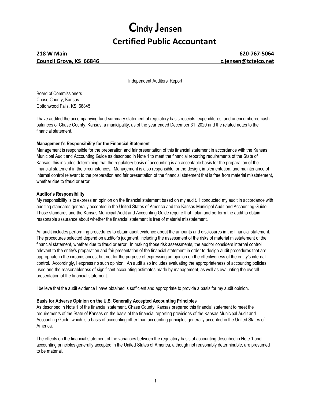# Cindy Jensen Certified Public Accountant

# 218 W Main 620-767-5064 Council Grove, KS 66846 council Grove, KS 66846

Independent Auditors' Report

Board of Commissioners Chase County, Kansas Cottonwood Falls, KS 66845

I have audited the accompanying fund summary statement of regulatory basis receipts, expenditures. and unencumbered cash balances of Chase County, Kansas, a municipality, as of the year ended December 31, 2020 and the related notes to the financial statement.

# Management's Responsibility for the Financial Statement

Management is responsible for the preparation and fair presentation of this financial statement in accordance with the Kansas Municipal Audit and Accounting Guide as described in Note 1 to meet the financial reporting requirements of the State of Kansas; this includes determining that the regulatory basis of accounting is an acceptable basis for the preparation of the financial statement in the circumstances. Management is also responsible for the design, implementation, and maintenance of internal control relevant to the preparation and fair presentation of the financial statement that is free from material misstatement, whether due to fraud or error.

#### Auditor's Responsibility

My responsibility is to express an opinion on the financial statement based on my audit. I conducted my audit in accordance with auditing standards generally accepted in the United States of America and the Kansas Municipal Audit and Accounting Guide. Those standards and the Kansas Municipal Audit and Accounting Guide require that I plan and perform the audit to obtain reasonable assurance about whether the financial statement is free of material misstatement.

An audit includes performing procedures to obtain audit evidence about the amounts and disclosures in the financial statement. The procedures selected depend on auditor's judgment, including the assessment of the risks of material misstatement of the financial statement, whether due to fraud or error. In making those risk assessments, the auditor considers internal control relevant to the entity's preparation and fair presentation of the financial statement in order to design audit procedures that are appropriate in the circumstances, but not for the purpose of expressing an opinion on the effectiveness of the entity's internal control. Accordingly, I express no such opinion. An audit also includes evaluating the appropriateness of accounting policies used and the reasonableness of significant accounting estimates made by management, as well as evaluating the overall presentation of the financial statement.

I believe that the audit evidence I have obtained is sufficient and appropriate to provide a basis for my audit opinion.

#### Basis for Adverse Opinion on the U.S. Generally Accepted Accounting Principles

As described in Note 1 of the financial statement, Chase County, Kansas prepared this financial statement to meet the requirements of the State of Kansas on the basis of the financial reporting provisions of the Kansas Municipal Audit and Accounting Guide, which is a basis of accounting other than accounting principles generally accepted in the United States of America.

The effects on the financial statement of the variances between the regulatory basis of accounting described in Note 1 and accounting principles generally accepted in the United States of America, although not reasonably determinable, are presumed to be material.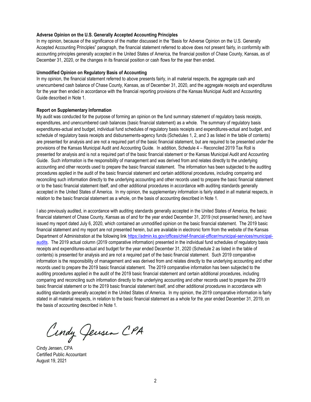#### Adverse Opinion on the U.S. Generally Accepted Accounting Principles

In my opinion, because of the significance of the matter discussed in the "Basis for Adverse Opinion on the U.S. Generally Accepted Accounting Principles" paragraph, the financial statement referred to above does not present fairly, in conformity with accounting principles generally accepted in the United States of America, the financial position of Chase County, Kansas, as of December 31, 2020, or the changes in its financial position or cash flows for the year then ended.

#### Unmodified Opinion on Regulatory Basis of Accounting

In my opinion, the financial statement referred to above presents fairly, in all material respects, the aggregate cash and unencumbered cash balance of Chase County, Kansas, as of December 31, 2020, and the aggregate receipts and expenditures for the year then ended in accordance with the financial reporting provisions of the Kansas Municipal Audit and Accounting Guide described in Note 1.

#### Report on Supplementary Information

My audit was conducted for the purpose of forming an opinion on the fund summary statement of regulatory basis receipts, expenditures, and unencumbered cash balances (basic financial statement) as a whole. The summary of regulatory basis expenditures-actual and budget, individual fund schedules of regulatory basis receipts and expenditures-actual and budget, and schedule of regulatory basis receipts and disbursements-agency funds (Schedules 1, 2, and 3 as listed in the table of contents) are presented for analysis and are not a required part of the basic financial statement, but are required to be presented under the provisions of the Kansas Municipal Audit and Accounting Guide. In addition, Schedule 4 – Reconciled 2019 Tax Roll is presented for analysis and is not a required part of the basic financial statement or the Kansas Municipal Audit and Accounting Guide. Such information is the responsibility of management and was derived from and relates directly to the underlying accounting and other records used to prepare the basic financial statement. The information has been subjected to the auditing procedures applied in the audit of the basic financial statement and certain additional procedures, including comparing and reconciling such information directly to the underlying accounting and other records used to prepare the basic financial statement or to the basic financial statement itself, and other additional procedures in accordance with auditing standards generally accepted in the United States of America. In my opinion, the supplementary information is fairly stated in all material respects, in relation to the basic financial statement as a whole, on the basis of accounting described in Note 1.

I also previously audited, in accordance with auditing standards generally accepted in the United States of America, the basic financial statement of Chase County, Kansas as of and for the year ended December 31, 2019 (not presented herein), and have issued my report dated July 6, 2020, which contained an unmodified opinion on the basic financial statement. The 2019 basic financial statement and my report are not presented herein, but are available in electronic form from the website of the Kansas Department of Administration at the following link https://admin.ks.gov/offices/chief-financial-officer/municipal-services/municipalaudits. The 2019 actual column (2019 comparative information) presented in the individual fund schedules of regulatory basis receipts and expenditures-actual and budget for the year ended December 31, 2020 (Schedule 2 as listed in the table of contents) is presented for analysis and are not a required part of the basic financial statement. Such 2019 comparative information is the responsibility of management and was derived from and relates directly to the underlying accounting and other records used to prepare the 2019 basic financial statement. The 2019 comparative information has been subjected to the auditing procedures applied in the audit of the 2019 basic financial statement and certain additional procedures, including comparing and reconciling such information directly to the underlying accounting and other records used to prepare the 2019 basic financial statement or to the 2019 basic financial statement itself, and other additional procedures in accordance with auditing standards generally accepted in the United States of America. In my opinion, the 2019 comparative information is fairly stated in all material respects, in relation to the basic financial statement as a whole for the year ended December 31, 2019, on the basis of accounting described in Note 1.

Cindy Jensen CPA

Cindy Jensen, CPA Certified Public Accountant August 19, 2021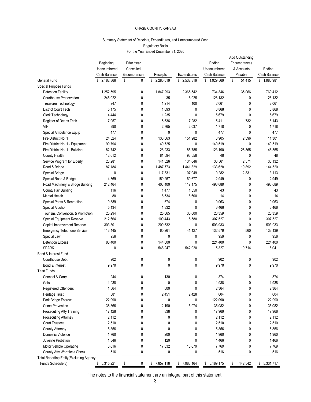#### Summary Statement of Receipts, Expenditures, and Unencumbered Cash Regulatory Basis For the Year Ended December 31, 2020

|                                                          |                           | Summary Statement of Receipts, Expenditures, and Unencumbered Cash | Regulatory Basis                     |                      |                        |                                               |                    |
|----------------------------------------------------------|---------------------------|--------------------------------------------------------------------|--------------------------------------|----------------------|------------------------|-----------------------------------------------|--------------------|
|                                                          |                           |                                                                    | For the Year Ended December 31, 2020 |                      |                        |                                               |                    |
|                                                          | Beginning<br>Unencumbered | Prior Year<br>Cancelled                                            |                                      |                      | Ending<br>Unencumbered | Add Outstanding<br>Encumbrances<br>& Accounts | Ending             |
|                                                          | Cash Balance              | Encumbrances                                                       | Receipts                             | Expenditures         | Cash Balance           | Payable                                       | Cash Balance       |
| General Fund                                             | \$2,182,366               | \$<br>0                                                            | \$<br>2,280,019                      | \$2,532,819          | \$1,929,566            | \$<br>51,415                                  | \$1,980,981        |
| Special Purpose Funds                                    |                           | 0                                                                  |                                      |                      |                        |                                               |                    |
| <b>Detention Facility</b><br>Courthouse Preservation     | 1,252,595<br>245,022      | 0                                                                  | 1,847,293<br>35                      | 2,365,542<br>118,925 | 734,346<br>126,132     | 35,066<br>0                                   | 769,412<br>126,132 |
| Treasurer Technology                                     | 947                       | 0                                                                  | 1,214                                | 100                  | 2,061                  | 0                                             | 2,061              |
| District Court Tech                                      | 5,175                     | 0                                                                  | 1,693                                | 0                    | 6,868                  | 0                                             | 6,868              |
| Clerk Technology                                         | 4,444                     | 0                                                                  | 1,235                                | 0                    | 5,679                  | 0                                             | 5,679              |
| Register of Deeds Tech<br><b>VIN</b>                     | 7,057<br>990              | 0<br>0                                                             | 5,636<br>2,765                       | 7,282<br>2,037       | 5,411<br>1,718         | 732<br>$\mathbf 0$                            | 6,143<br>1,718     |
| Special Ambulance Equip                                  | 477                       | $\mathbf{0}$                                                       | 0                                    | 0                    | 477                    | 0                                             | 477                |
| Fire District No. 1                                      | 24,524                    | $\mathbf{0}$                                                       | 136,363                              | 151,982              | 8,905                  | 2,396                                         | 11,301             |
| Fire District No. 1 - Equipment                          | 99,794                    | $\Omega$                                                           | 40,725                               | 0                    | 140,519                | 0                                             | 140,519            |
| Fire District No. 1 - Building<br>County Health          | 182,742<br>12,012         | 0<br>$\Omega$                                                      | 26,233<br>81,594                     | 85,785<br>93,558     | 123,190<br>48          | 25,365<br>$\mathbf{0}$                        | 148,555<br>48      |
| Service Program for Elderly                              | 26,281                    | 0                                                                  | 141,326                              | 134,046              | 33,561                 | 2,571                                         | 36,132             |
| Road & Bridge                                            | 87,184                    | 0                                                                  | 1,487,773                            | 1,441,329            | 133,628                | 10,892                                        | 144,520            |
| Special Bridge                                           | 0                         | 0                                                                  | 117,331                              | 107,049              | 10,282                 | 2,831                                         | 13,113             |
| Special Road & Bridge                                    | 4,369                     | 0                                                                  | 159,257                              | 160,677              | 2,949                  | $\mathbf 0$                                   | 2,949              |
| Road Machinery & Bridge Building<br>County Fair Building | 212,464<br>116            | 0<br>0                                                             | 403,400<br>1,477                     | 117,175<br>1,550     | 498,689<br>43          | 0<br>0                                        | 498,689<br>43      |
| Mental Health                                            | 80                        | 0                                                                  | 6,534                                | 6,600                | 14                     | 0                                             | 14                 |
| Special Parks & Recreation                               | 9,389                     | 0                                                                  | 674                                  | 0                    | 10,063                 | $\mathbf 0$                                   | 10,063             |
| Special Alcohol                                          | 5,134                     | 0                                                                  | 1,332                                | 0                    | 6,466                  | 0                                             | 6,466              |
| Tourism, Convention, & Promotion                         | 25,294                    | 0                                                                  | 25,065                               | 30,000               | 20,359                 | 0                                             | 20,359             |
| Special Equipment Reserve<br>Capital Improvement Reserve | 212,664<br>303,301        | 0<br>0                                                             | 100,443<br>200,632                   | 5,580<br>$\pmb{0}$   | 307,527<br>503,933     | 0<br>$\pmb{0}$                                | 307,527<br>503,933 |
| <b>Emergency Telephone Service</b>                       | 113,445                   | 0                                                                  | 60,261                               | 41,127               | 132,579                | 560                                           | 133,139            |
| Special Law                                              | 956                       | 0                                                                  | 0                                    | 0                    | 956                    | $\mathbf 0$                                   | 956                |
| <b>Detention Excess</b>                                  | 80,400                    | 0                                                                  | 144,000                              | 0                    | 224,400                | $\mathbf 0$                                   | 224,400            |
| <b>SPARK</b>                                             | 0                         | 0                                                                  | 548,247                              | 542,920              | 5,327                  | 10,714                                        | 16,041             |
| Bond & Interest Fund                                     |                           |                                                                    |                                      |                      |                        |                                               |                    |
| Courthouse Debt<br>Bond & Interest                       | 902<br>9,970              | 0<br>0                                                             | 0<br>$\mathbf 0$                     | 0<br>0               | 902<br>9,970           | $\mathbf 0$<br>$\mathbf 0$                    | 902<br>9,970       |
| <b>Trust Funds</b>                                       |                           |                                                                    |                                      |                      |                        |                                               |                    |
| Conceal & Carry                                          | 244                       | 0                                                                  | 130                                  | 0                    | 374                    | $\pmb{0}$                                     | 374                |
| Gifts                                                    | 1,938                     | 0                                                                  | $\pmb{0}$                            | 0                    | 1,938                  | 0                                             | 1,938              |
| Registered Offenders                                     | 1,564                     | 0                                                                  | 800                                  | 0                    | 2,364                  | 0                                             | 2,364              |
| Heritage Trust<br>Park Bridge Escrow                     | 581<br>122,090            | 0<br>0                                                             | 2,451<br>0                           | 2,428<br>0           | 604<br>122,090         | 0<br>$\mathbf 0$                              | 604<br>122,090     |
| Crime Prevention                                         | 38,866                    | 0                                                                  | 12,190                               | 15,974               | 35,082                 | 0                                             | 35,082             |
| Prosecuting Atty Training                                | 17,128                    | 0                                                                  | 838                                  | 0                    | 17,966                 | $\mathbf 0$                                   | 17,966             |
| Prosecuting Attorney                                     | 2,112                     | 0                                                                  | $\mathbf 0$                          | 0                    | 2,112                  | $\mathbf 0$                                   | 2,112              |
| <b>Court Trustees</b>                                    | 2,510                     | 0                                                                  | 0                                    | 0                    | 2,510                  | 0                                             | 2,510              |
| County Attorney                                          | 5,856                     | 0<br>$\mathbf{0}$                                                  | $\mathbf 0$                          | 0                    | 5,856                  | 0                                             | 5,856              |
| Domestic Violence<br>Juvenile Probation                  | 1,760<br>1,346            | 0                                                                  | 200<br>120                           | 0<br>$\mathbf 0$     | 1,960<br>1,466         | $\mathbf 0$<br>0                              | 1,960<br>1,466     |
| Motor Vehicle Operating                                  | 8,616                     | $\mathbf{0}$                                                       | 17,832                               | 18,679               | 7,769                  | $\pmb{0}$                                     | 7,769              |
| County Atty Worthless Check                              | 516                       | 0                                                                  | 0                                    | 0                    | 516                    | $\mathbf 0$                                   | 516                |
| <b>Total Reporting Entity (Excluding Agency</b>          |                           |                                                                    |                                      |                      |                        |                                               |                    |
| Funds Schedule 3)                                        | \$5,315,221               | \$<br>0                                                            | \$7,857,118                          | \$7,983,164          | \$5,189,175            | 142,542<br>\$                                 | \$5,331,717        |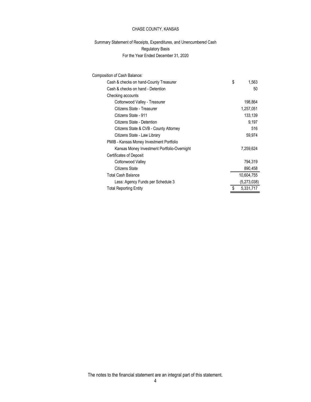| CHASE COUNTY, KANSAS                                                   |                 |
|------------------------------------------------------------------------|-----------------|
|                                                                        |                 |
| Summary Statement of Receipts, Expenditures, and Unencumbered Cash     |                 |
| <b>Regulatory Basis</b>                                                |                 |
| For the Year Ended December 31, 2020                                   |                 |
|                                                                        |                 |
| Composition of Cash Balance:<br>Cash & checks on hand-County Treasurer | \$<br>1,563     |
| Cash & checks on hand - Detention                                      | 50              |
| Checking accounts                                                      |                 |
| Cottonwood Valley - Treasurer                                          | 198,864         |
| Citizens State - Treasurer                                             | 1,257,051       |
| Citizens State - 911                                                   | 133,139         |
| Citizens State - Detention                                             | 9,197           |
| Citizens State & CVB - County Attorney                                 | 516             |
| Citizens State - Law Library                                           | 59,974          |
| PMIB - Kansas Money Investment Portfolio                               |                 |
| Kansas Money Investment Portfolio-Overnight                            | 7,259,624       |
| Certificates of Deposit                                                |                 |
| Cottonwood Valley                                                      | 794,319         |
| <b>Citizens State</b>                                                  | 890,458         |
| <b>Total Cash Balance</b>                                              | 10,604,755      |
| Less: Agency Funds per Schedule 3                                      | (5,273,038)     |
| <b>Total Reporting Entity</b>                                          | 5,331,717<br>£. |

The notes to the financial statement are an integral part of this statement.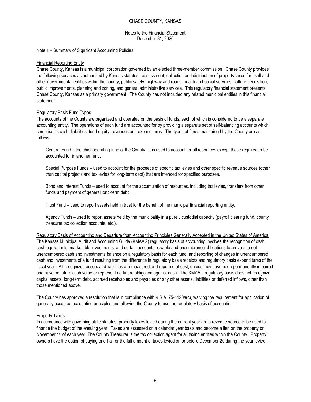#### Notes to the Financial Statement December 31, 2020

Note 1 – Summary of Significant Accounting Policies

#### Financial Reporting Entity

Chase County, Kansas is a municipal corporation governed by an elected three-member commission. Chase County provides the following services as authorized by Kansas statutes: assessment, collection and distribution of property taxes for itself and other governmental entities within the county, public safety, highway and roads, health and social services, culture, recreation, public improvements, planning and zoning, and general administrative services. This regulatory financial statement presents Chase County, Kansas as a primary government. The County has not included any related municipal entities in this financial statement.

#### Regulatory Basis Fund Types

The accounts of the County are organized and operated on the basis of funds, each of which is considered to be a separate accounting entity. The operations of each fund are accounted for by providing a separate set of self-balancing accounts which comprise its cash, liabilities, fund equity, revenues and expenditures. The types of funds maintained by the County are as follows:

General Fund – the chief operating fund of the County. It is used to account for all resources except those required to be accounted for in another fund.

Special Purpose Funds – used to account for the proceeds of specific tax levies and other specific revenue sources (other than capital projects and tax levies for long-term debt) that are intended for specified purposes.

Bond and Interest Funds – used to account for the accumulation of resources, including tax levies, transfers from other funds and payment of general long-term debt

Trust Fund – used to report assets held in trust for the benefit of the municipal financial reporting entity.

Agency Funds – used to report assets held by the municipality in a purely custodial capacity (payroll clearing fund, county treasurer tax collection accounts, etc.).

Regulatory Basis of Accounting and Departure from Accounting Principles Generally Accepted in the United States of America The Kansas Municipal Audit and Accounting Guide (KMAAG) regulatory basis of accounting involves the recognition of cash, cash equivalents, marketable investments, and certain accounts payable and encumbrance obligations to arrive at a net unencumbered cash and investments balance on a regulatory basis for each fund, and reporting of changes in unencumbered cash and investments of a fund resulting from the difference in regulatory basis receipts and regulatory basis expenditures of the fiscal year. All recognized assets and liabilities are measured and reported at cost, unless they have been permanently impaired and have no future cash value or represent no future obligation against cash. The KMAAG regulatory basis does not recognize capital assets, long-term debt, accrued receivables and payables or any other assets, liabilities or deferred inflows, other than those mentioned above.

The County has approved a resolution that is in compliance with K.S.A. 75-1120a(c), waiving the requirement for application of generally accepted accounting principles and allowing the County to use the regulatory basis of accounting.

#### Property Taxes

In accordance with governing state statutes, property taxes levied during the current year are a revenue source to be used to finance the budget of the ensuing year. Taxes are assessed on a calendar year basis and become a lien on the property on November 1st of each year. The County Treasurer is the tax collection agent for all taxing entities within the County. Property owners have the option of paying one-half or the full amount of taxes levied on or before December 20 during the year levied,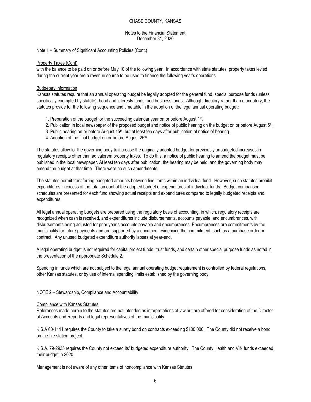#### Notes to the Financial Statement December 31, 2020

Note 1 – Summary of Significant Accounting Policies (Cont.)

#### Property Taxes (Cont)

with the balance to be paid on or before May 10 of the following year. In accordance with state statutes, property taxes levied during the current year are a revenue source to be used to finance the following year's operations.

#### Budgetary information

Kansas statutes require that an annual operating budget be legally adopted for the general fund, special purpose funds (unless specifically exempted by statute), bond and interests funds, and business funds. Although directory rather than mandatory, the statutes provide for the following sequence and timetable in the adoption of the legal annual operating budget:

- 1. Preparation of the budget for the succeeding calendar year on or before August 1<sup>st</sup>.
- 2. Publication in local newspaper of the proposed budget and notice of public hearing on the budget on or before August 5<sup>th</sup>.
- 3. Public hearing on or before August 15<sup>th</sup>, but at least ten days after publication of notice of hearing.
- 4. Adoption of the final budget on or before August 25<sup>th</sup>.

The statutes allow for the governing body to increase the originally adopted budget for previously unbudgeted increases in regulatory receipts other than ad valorem property taxes. To do this, a notice of public hearing to amend the budget must be published in the local newspaper. At least ten days after publication, the hearing may be held, and the governing body may amend the budget at that time. There were no such amendments.

The statutes permit transferring budgeted amounts between line items within an individual fund. However, such statutes prohibit expenditures in excess of the total amount of the adopted budget of expenditures of individual funds. Budget comparison schedules are presented for each fund showing actual receipts and expenditures compared to legally budgeted receipts and expenditures.

All legal annual operating budgets are prepared using the regulatory basis of accounting, in which, regulatory receipts are recognized when cash is received, and expenditures include disbursements, accounts payable, and encumbrances, with disbursements being adjusted for prior year's accounts payable and encumbrances. Encumbrances are commitments by the municipality for future payments and are supported by a document evidencing the commitment, such as a purchase order or contract. Any unused budgeted expenditure authority lapses at year-end.

A legal operating budget is not required for capital project funds, trust funds, and certain other special purpose funds as noted in the presentation of the appropriate Schedule 2.

Spending in funds which are not subject to the legal annual operating budget requirement is controlled by federal regulations, other Kansas statutes, or by use of internal spending limits established by the governing body.

NOTE 2 – Stewardship, Compliance and Accountability

#### Compliance with Kansas Statutes

References made herein to the statutes are not intended as interpretations of law but are offered for consideration of the Director of Accounts and Reports and legal representatives of the municipality.

K.S.A 60-1111 requires the County to take a surety bond on contracts exceeding \$100,000. The County did not receive a bond on the fire station project.

K.S.A. 79-2935 requires the County not exceed its' budgeted expenditure authority. The County Health and VIN funds exceeded their budget in 2020.

Management is not aware of any other items of noncompliance with Kansas Statutes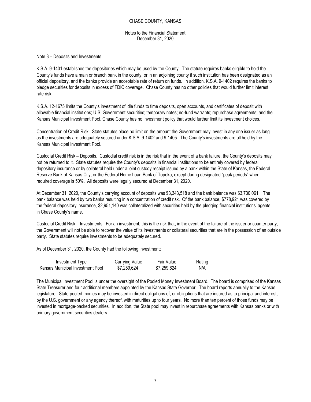Notes to the Financial Statement December 31, 2020

#### Note 3 – Deposits and Investments

K.S.A. 9-1401 establishes the depositories which may be used by the County. The statute requires banks eligible to hold the County's funds have a main or branch bank in the county, or in an adjoining county if such institution has been designated as an official depository, and the banks provide an acceptable rate of return on funds. In addition, K.S.A. 9-1402 requires the banks to pledge securities for deposits in excess of FDIC coverage. Chase County has no other policies that would further limit interest rate risk.

K.S.A. 12-1675 limits the County's investment of idle funds to time deposits, open accounts, and certificates of deposit with allowable financial institutions; U.S. Government securities; temporary notes; no-fund warrants; repurchase agreements; and the Kansas Municipal Investment Pool. Chase County has no investment policy that would further limit its investment choices.

Concentration of Credit Risk. State statutes place no limit on the amount the Government may invest in any one issuer as long as the investments are adequately secured under K.S.A. 9-1402 and 9-1405. The County's investments are all held by the Kansas Municipal Investment Pool.

Custodial Credit Risk – Deposits. Custodial credit risk is in the risk that in the event of a bank failure, the County's deposits may not be returned to it. State statutes require the County's deposits in financial institutions to be entirely covered by federal depository insurance or by collateral held under a joint custody receipt issued by a bank within the State of Kansas, the Federal Reserve Bank of Kansas City, or the Federal Home Loan Bank of Topeka, except during designated "peak periods" when required coverage is 50%. All deposits were legally secured at December 31, 2020.

At December 31, 2020, the County's carrying account of deposits was \$3,343,518 and the bank balance was \$3,730,061. The bank balance was held by two banks resulting in a concentration of credit risk. Of the bank balance, \$778,921 was covered by the federal depository insurance, \$2,951,140 was collateralized with securities held by the pledging financial institutions' agents in Chase County's name.

Custodial Credit Risk – Investments. For an investment, this is the risk that, in the event of the failure of the issuer or counter party, the Government will not be able to recover the value of its investments or collateral securities that are in the possession of an outside party. State statutes require investments to be adequately secured.

As of December 31, 2020, the County had the following investment:

| Investment                       | شcarryıng              | Fair        | Ratino |
|----------------------------------|------------------------|-------------|--------|
| Ivpe                             | Value                  | Value       |        |
| Kansas Municipal Investment Pool | <sup>3</sup> 7,259,624 | \$7,259,624 | N/A    |

The Municipal Investment Pool is under the oversight of the Pooled Money Investment Board. The board is comprised of the Kansas State Treasurer and four additional members appointed by the Kansas State Governor. The board reports annually to the Kansas legislature. State pooled monies may be invested in direct obligations of, or obligations that are insured as to principal and interest, by the U.S. government or any agency thereof, with maturities up to four years. No more than ten percent of those funds may be invested in mortgage-backed securities. In addition, the State pool may invest in repurchase agreements with Kansas banks or with primary government securities dealers.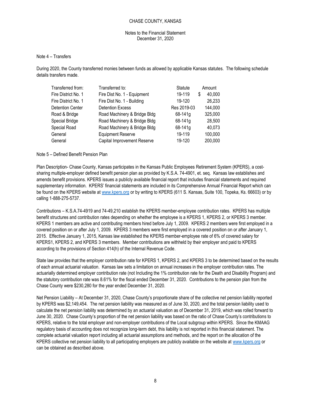#### Notes to the Financial Statement December 31, 2020

#### Note 4 – Transfers

During 2020, the County transferred monies between funds as allowed by applicable Kansas statutes. The following schedule details transfers made.

| Transferred from:   | Transferred to:              | Statute     |   | Amount  |
|---------------------|------------------------------|-------------|---|---------|
| Fire District No. 1 | Fire Dist No. 1 - Equipment  | 19-119      | S | 40,000  |
| Fire District No. 1 | Fire Dist No. 1 - Building   | 19-120      |   | 26,233  |
| Detention Center    | <b>Detention Excess</b>      | Res 2019-03 |   | 144,000 |
| Road & Bridge       | Road Machinery & Bridge Bldg | 68-141g     |   | 325,000 |
| Special Bridge      | Road Machinery & Bridge Bldg | 68-141g     |   | 28,500  |
| Special Road        | Road Machinery & Bridge Bldg | $68 - 141g$ |   | 40.073  |
| General             | <b>Equipment Reserve</b>     | 19-119      |   | 100,000 |
| General             | Capital Improvement Reserve  | 19-120      |   | 200,000 |

#### Note 5 – Defined Benefit Pension Plan

Plan Description- Chase County, Kansas participates in the Kansas Public Employees Retirement System (KPERS), a costsharing multiple-employer defined benefit pension plan as provided by K.S.A. 74-4901, et. seq. Kansas law establishes and amends benefit provisions. KPERS issues a publicly available financial report that includes financial statements and required supplementary information. KPERS' financial statements are included in its Comprehensive Annual Financial Report which can be found on the KPERS website at www.kpers.org or by writing to KPERS (611 S. Kansas, Suite 100, Topeka, Ks. 66603) or by calling 1-888-275-5737.

Contributions – K.S.A.74-4919 and 74-49,210 establish the KPERS member-employee contribution rates. KPERS has multiple benefit structures and contribution rates depending on whether the employee is a KPERS 1, KPERS 2, or KPERS 3 member. KPERS 1 members are active and contributing members hired before July 1, 2009. KPERS 2 members were first employed in a covered position on or after July 1, 2009. KPERS 3 members were first employed in a covered position on or after January 1, 2015. Effective January 1, 2015, Kansas law established the KPERS member-employee rate of 6% of covered salary for KPERS1, KPERS 2, and KPERS 3 members. Member contributions are withheld by their employer and paid to KPERS according to the provisions of Section 414(h) of the Internal Revenue Code.

State law provides that the employer contribution rate for KPERS 1, KPERS 2, and KPERS 3 to be determined based on the results of each annual actuarial valuation. Kansas law sets a limitation on annual increases in the employer contribution rates. The actuarially determined employer contribution rate (not Including the 1% contribution rate for the Death and Disability Program) and the statutory contribution rate was 8.61% for the fiscal ended December 31, 2020. Contributions to the pension plan from the Chase County were \$230,280 for the year ended December 31, 2020.

Net Pension Liability – At December 31, 2020, Chase County's proportionate share of the collective net pension liability reported by KPERS was \$2,149,454. The net pension liability was measured as of June 30, 2020, and the total pension liability used to calculate the net pension liability was determined by an actuarial valuation as of December 31, 2019, which was rolled forward to June 30, 2020. Chase County's proportion of the net pension liability was based on the ratio of Chase County's contributions to KPERS, relative to the total employer and non-employer contributions of the Local subgroup within KPERS. Since the KMAAG regulatory basis of accounting does not recognize long-term debt, this liability is not reported in this financial statement. The complete actuarial valuation report including all actuarial assumptions and methods, and the report on the allocation of the KPERS collective net pension liability to all participating employers are publicly available on the website at www.kpers.org or can be obtained as described above.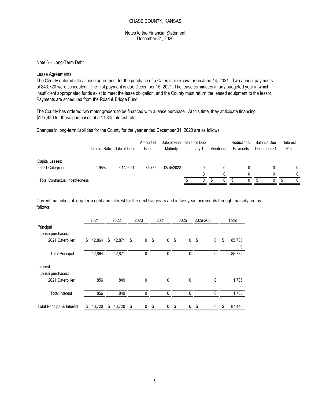#### Notes to the Financial Statement December 31, 2020

#### Lease Agreements

|                                                                                                                                                                                                                                                                                                                                                                                                                                                                            |                |                             | CHASE COUNTY, KANSAS      |                                  |                                 |                                            |                             |                                   |                                         |
|----------------------------------------------------------------------------------------------------------------------------------------------------------------------------------------------------------------------------------------------------------------------------------------------------------------------------------------------------------------------------------------------------------------------------------------------------------------------------|----------------|-----------------------------|---------------------------|----------------------------------|---------------------------------|--------------------------------------------|-----------------------------|-----------------------------------|-----------------------------------------|
|                                                                                                                                                                                                                                                                                                                                                                                                                                                                            |                |                             | December 31, 2020         | Notes to the Financial Statement |                                 |                                            |                             |                                   |                                         |
| Note 6 - Long-Term Debt                                                                                                                                                                                                                                                                                                                                                                                                                                                    |                |                             |                           |                                  |                                 |                                            |                             |                                   |                                         |
| Lease Agreements<br>The County entered into a lease agreement for the purchase of a Caterpillar excavator on June 14, 2021. Two annual payments<br>of \$43,720 were scheduled. The first payment is due December 15, 2021. The lease terminates in any budgeted year in which<br>insufficient appropriated funds exist to meet the lease obligation, and the County must return the leased equipment to the lessor.<br>Payments are scheduled from the Road & Bridge Fund. |                |                             |                           |                                  |                                 |                                            |                             |                                   |                                         |
| The County has ordered two motor graders to be financed with a lease purchase. At this time, they anticipate financing<br>\$177,430 for these purchases at a 1.98% interest rate.                                                                                                                                                                                                                                                                                          |                |                             |                           |                                  |                                 |                                            |                             |                                   |                                         |
| Changes in long-term liabilities for the County for the year ended December 31, 2020 are as follows:                                                                                                                                                                                                                                                                                                                                                                       |                |                             |                           |                                  |                                 |                                            |                             |                                   |                                         |
|                                                                                                                                                                                                                                                                                                                                                                                                                                                                            |                | Interest Rate Date of Issue | Amount of<br><b>Issue</b> | Date of Final<br>Maturity        | <b>Balance Due</b><br>January 1 | Additions                                  | Reductions/<br>Payments     | <b>Balance Due</b><br>December 31 | Interest<br>Paid                        |
| Capital Leases:<br>2021 Caterpiller                                                                                                                                                                                                                                                                                                                                                                                                                                        | 1.98%          | 6/14/2021                   | 85,735                    | 12/15/2022                       | 0<br>$\Omega$                   | $\mathbf 0$<br>$\mathbf 0$                 | $\pmb{0}$<br>$\pmb{0}$      | $\pmb{0}$<br>$\mathbf 0$          | 0<br>0                                  |
| <b>Total Contractual Indebtedness</b>                                                                                                                                                                                                                                                                                                                                                                                                                                      |                |                             |                           |                                  | £.                              | $\bullet$<br>$\overline{0}$<br>$\mathbf 0$ | $\overline{0}$<br>$\bullet$ | $\overline{\$}$<br>$\overline{0}$ | $\overline{\mathcal{S}}$<br>$\mathbf 0$ |
| Current maturities of long-term debt and interest for the next five years and in five-year increments through maturity are as<br>follows:                                                                                                                                                                                                                                                                                                                                  | 2021           | 2022                        | 2023                      | 2024                             | 2025<br>2026-2030               |                                            | Total                       |                                   |                                         |
| Principal<br>Lease purchases:<br>2021 Caterpiller                                                                                                                                                                                                                                                                                                                                                                                                                          | \$42,864<br>\$ | 42,871 \$                   | 0 <sup>5</sup>            | 0 <sup>5</sup>                   | 0 <sup>5</sup>                  | $\mathbf 0$<br>\$                          | 85,735                      |                                   |                                         |
| <b>Total Principal</b>                                                                                                                                                                                                                                                                                                                                                                                                                                                     | 42,864         | 42,871                      | $\pmb{0}$                 | $\pmb{0}$                        | $\pmb{0}$                       | $\pmb{0}$                                  | $\Omega$<br>85,735          |                                   |                                         |
| Interest                                                                                                                                                                                                                                                                                                                                                                                                                                                                   |                |                             |                           |                                  |                                 |                                            |                             |                                   |                                         |

|                                                                                        | Interest Rate Date of Issue |              | Amount of<br>Issue   |        | Maturity       | Date of Final |             | <b>Balance Due</b><br>January 1 | Additions |                     | Reductions/<br>Payments |                | <b>Balance Due</b><br>December 31 |                     |                 | Interest<br>Paid |
|----------------------------------------------------------------------------------------|-----------------------------|--------------|----------------------|--------|----------------|---------------|-------------|---------------------------------|-----------|---------------------|-------------------------|----------------|-----------------------------------|---------------------|-----------------|------------------|
| Capital Leases:                                                                        |                             |              |                      |        |                |               |             |                                 |           |                     |                         |                |                                   |                     |                 |                  |
| 2021 Caterpiller                                                                       | 1.98%                       | 6/14/2021    |                      | 85,735 |                | 12/15/2022    |             | 0<br>0                          |           | 0                   |                         | $\pmb{0}$<br>0 |                                   | 0                   |                 | 0                |
| <b>Total Contractual Indebtedness</b>                                                  |                             |              |                      |        |                |               | \$          | $\overline{0}$                  | $\bullet$ | 0<br>$\overline{0}$ | $\overline{\mathbf{S}}$ | $\overline{0}$ | $\overline{\$}$                   | 0<br>$\overline{0}$ | $\overline{\$}$ | 0<br>$\mathbf 0$ |
| follows:                                                                               | 2021                        | 2022         | 2023                 | 2024   |                | 2025          |             | 2026-2030                       |           |                     | Total                   |                |                                   |                     |                 |                  |
|                                                                                        |                             |              |                      |        |                |               |             |                                 |           |                     |                         |                |                                   |                     |                 |                  |
|                                                                                        |                             |              |                      |        |                |               |             |                                 |           |                     |                         |                |                                   |                     |                 |                  |
|                                                                                        |                             |              |                      |        |                |               |             |                                 |           |                     |                         |                |                                   |                     |                 |                  |
| 2021 Caterpiller                                                                       | 42,864<br>\$                | \$<br>42,871 | \$<br>0 <sup>5</sup> |        | 0 <sup>5</sup> |               | $\mathbf 0$ | \$                              | $\pmb{0}$ | \$                  | 85,735                  |                |                                   |                     |                 |                  |
| <b>Total Principal</b>                                                                 | 42,864                      | 42,871       | $\pmb{0}$            |        | 0              |               | 0           |                                 | $\pmb{0}$ |                     | 0<br>85,735             |                |                                   |                     |                 |                  |
|                                                                                        |                             |              |                      |        |                |               |             |                                 |           |                     |                         |                |                                   |                     |                 |                  |
|                                                                                        |                             |              |                      |        |                |               |             |                                 |           |                     |                         |                |                                   |                     |                 |                  |
| 2021 Caterpiller                                                                       | 856                         | 849          | $\pmb{0}$            |        | $\pmb{0}$      |               | $\pmb{0}$   |                                 | $\pmb{0}$ |                     | 1,705<br>0              |                |                                   |                     |                 |                  |
| Principal<br>Lease purchases:<br>Interest<br>Lease purchases:<br><b>Total Interest</b> | 856                         | 849          | $\pmb{0}$            |        | 0              |               | 0           |                                 | 0         |                     | 1,705                   |                |                                   |                     |                 |                  |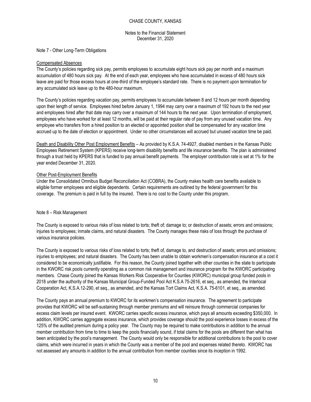#### Notes to the Financial Statement December 31, 2020

Note 7 - Other Long-Term Obligations

#### Compensated Absences

The County's policies regarding sick pay, permits employees to accumulate eight hours sick pay per month and a maximum accumulation of 480 hours sick pay. At the end of each year, employees who have accumulated in excess of 480 hours sick leave are paid for those excess hours at one-third of the employee's standard rate. There is no payment upon termination for any accumulated sick leave up to the 480-hour maximum.

The County's policies regarding vacation pay, permits employees to accumulate between 8 and 12 hours per month depending upon their length of service. Employees hired before January 1, 1994 may carry over a maximum of 192 hours to the next year and employees hired after that date may carry over a maximum of 144 hours to the next year. Upon termination of employment, employees who have worked for at least 12 months, will be paid at their regular rate of pay from any unused vacation time. Any employee who transfers from a hired position to an elected or appointed position shall be compensated for any vacation time accrued up to the date of election or appointment. Under no other circumstances will accrued but unused vacation time be paid.

Death and Disability Other Post Employment Benefits – As provided by K.S.A. 74-4927, disabled members in the Kansas Public Employees Retirement System (KPERS) receive long-term disability benefits and life insurance benefits. The plan is administered through a trust held by KPERS that is funded to pay annual benefit payments. The employer contribution rate is set at 1% for the year ended December 31, 2020.

#### Other Post-Employment Benefits

Under the Consolidated Omnibus Budget Reconciliation Act (COBRA), the County makes health care benefits available to eligible former employees and eligible dependents. Certain requirements are outlined by the federal government for this coverage. The premium is paid in full by the insured. There is no cost to the County under this program.

#### Note 8 – Risk Management

The County is exposed to various risks of loss related to torts; theft of; damage to; or destruction of assets; errors and omissions; injuries to employees; inmate claims, and natural disasters. The County manages these risks of loss through the purchase of various insurance policies.

The County is exposed to various risks of loss related to torts; theft of, damage to, and destruction of assets; errors and omissions; injuries to employees; and natural disasters. The County has been unable to obtain workmen's compensation insurance at a cost it considered to be economically justifiable. For this reason, the County joined together with other counties in the state to participate in the KWORC risk pools currently operating as a common risk management and insurance program for the KWORC participating members. Chase County joined the Kansas Workers Risk Cooperative for Counties (KWORC) municipal group funded pools in 2018 under the authority of the Kansas Municipal Group-Funded Pool Act K.S.A 75-2616, et seq., as amended, the Interlocal Cooperation Act, K.S.A.12-290, et seq., as amended, and the Kansas Tort Claims Act, K.S.A. 75-6101, et seq., as amended.

The County pays an annual premium to KWORC for its workmen's compensation insurance. The agreement to participate provides that KWORC will be self-sustaining through member premiums and will reinsure through commercial companies for excess claim levels per insured event. KWORC carries specific excess insurance, which pays all amounts exceeding \$350,000. In addition, KWORC carries aggregate excess insurance, which provides coverage should the pool experience losses in excess of the 125% of the audited premium during a policy year. The County may be required to make contributions in addition to the annual member contribution from time to time to keep the pools financially sound, if total claims for the pools are different than what has been anticipated by the pool's management. The County would only be responsible for additional contributions to the pool to cover claims, which were incurred in years in which the County was a member of the pool and expenses related thereto. KWORC has not assessed any amounts in addition to the annual contribution from member counties since its inception in 1992.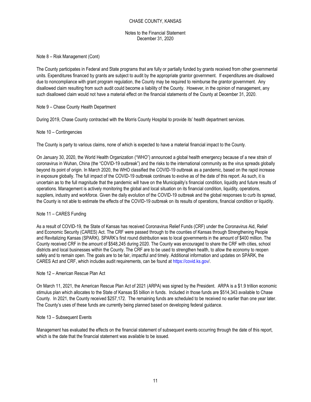Notes to the Financial Statement December 31, 2020

Note 8 – Risk Management (Cont)

The County participates in Federal and State programs that are fully or partially funded by grants received from other governmental units. Expenditures financed by grants are subject to audit by the appropriate grantor government. If expenditures are disallowed due to noncompliance with grant program regulation, the County may be required to reimburse the grantor government. Any disallowed claim resulting from such audit could become a liability of the County. However, in the opinion of management, any such disallowed claim would not have a material effect on the financial statements of the County at December 31, 2020.

Note 9 – Chase County Health Department

During 2019, Chase County contracted with the Morris County Hospital to provide its' health department services.

#### Note 10 – Contingencies

The County is party to various claims, none of which is expected to have a material financial impact to the County.

On January 30, 2020, the World Health Organization ("WHO") announced a global health emergency because of a new strain of coronavirus in Wuhan, China (the "COVID-19 outbreak") and the risks to the international community as the virus spreads globally beyond its point of origin. In March 2020, the WHO classified the COVID-19 outbreak as a pandemic, based on the rapid increase in exposure globally. The full impact of the COVID-19 outbreak continues to evolve as of the date of this report. As such, it is uncertain as to the full magnitude that the pandemic will have on the Municipality's financial condition, liquidity and future results of operations. Management is actively monitoring the global and local situation on its financial condition, liquidity, operations, suppliers, industry and workforce. Given the daily evolution of the COVID-19 outbreak and the global responses to curb its spread, the County is not able to estimate the effects of the COVID-19 outbreak on its results of operations, financial condition or liquidity.

#### Note 11 – CARES Funding

As a result of COVID-19, the State of Kansas has received Coronavirus Relief Funds (CRF) under the Coronavirus Aid, Relief and Economic Security (CARES) Act. The CRF were passed through to the counties of Kansas through Strengthening People and Revitalizing Kansas (SPARK). SPARK's first round distribution was to local governments in the amount of \$400 million. The County received CRF in the amount of \$548,245 during 2020. The County was encouraged to share the CRF with cities, school districts and local businesses within the County. The CRF are to be used to strengthen health, to allow the economy to reopen safely and to remain open. The goals are to be fair, impactful and timely. Additional information and updates on SPARK, the CARES Act and CRF, which includes audit requirements, can be found at https://covid.ks.gov/.

#### Note 12 – American Rescue Plan Act

On March 11, 2021, the American Rescue Plan Act of 2021 (ARPA) was signed by the President. ARPA is a \$1.9 trillion economic stimulus plan which allocates to the State of Kansas \$5 billion in funds. Included in those funds are \$514,343 available to Chase County. In 2021, the County received \$257,172. The remaining funds are scheduled to be received no earlier than one year later. The County's uses of these funds are currently being planned based on developing federal guidance.

#### Note 13 – Subsequent Events

Management has evaluated the effects on the financial statement of subsequent events occurring through the date of this report, which is the date that the financial statement was available to be issued.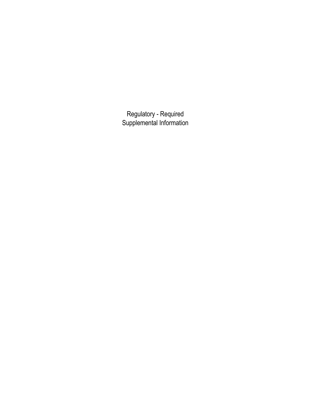Regulatory - Required Supplemental Information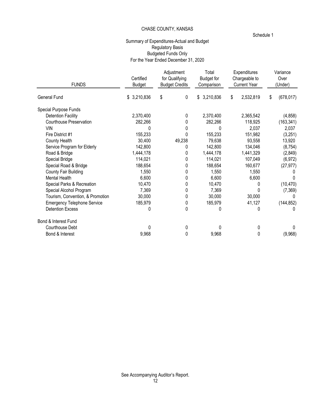#### Schedule 1

# Summary of Expenditures-Actual and Budget Regulatory Basis Budgeted Funds Only For the Year Ended December 31, 2020

| <b>FUNDS</b>                       | Certified<br><b>Budget</b> | Adjustment<br>for Qualifying<br><b>Budget Credits</b> | Total<br>Budget for<br>Comparison | Expenditures<br>Chargeable to<br><b>Current Year</b> | Variance<br>Over<br>(Under) |  |
|------------------------------------|----------------------------|-------------------------------------------------------|-----------------------------------|------------------------------------------------------|-----------------------------|--|
| <b>General Fund</b>                | \$3,210,836                | \$<br>0                                               | \$3,210,836                       | 2,532,819<br>S                                       | (678, 017)<br>\$            |  |
| Special Purpose Funds              |                            |                                                       |                                   |                                                      |                             |  |
| <b>Detention Facility</b>          | 2,370,400                  | 0                                                     | 2,370,400                         | 2,365,542                                            | (4,858)                     |  |
| Courthouse Preservation            | 282,266                    |                                                       | 282,266                           | 118,925                                              | (163, 341)                  |  |
| <b>VIN</b>                         |                            |                                                       |                                   | 2,037                                                | 2,037                       |  |
| Fire District #1                   | 155,233                    |                                                       | 155,233                           | 151,982                                              | (3,251)                     |  |
| County Health                      | 30,400                     | 49,238                                                | 79,638                            | 93,558                                               | 13,920                      |  |
| Service Program for Elderly        | 142,800                    | ი                                                     | 142,800                           | 134,046                                              | (8, 754)                    |  |
| Road & Bridge                      | 1,444,178                  |                                                       | 1,444,178                         | 1,441,329                                            | (2, 849)                    |  |
| Special Bridge                     | 114,021                    |                                                       | 114,021                           | 107,049                                              | (6, 972)                    |  |
| Special Road & Bridge              | 188,654                    |                                                       | 188,654                           | 160,677                                              | (27, 977)                   |  |
| County Fair Building               | 1,550                      | 0                                                     | 1,550                             | 1,550                                                |                             |  |
| Mental Health                      | 6,600                      | 0                                                     | 6,600                             | 6,600                                                |                             |  |
| Special Parks & Recreation         | 10,470                     |                                                       | 10,470                            |                                                      | (10, 470)                   |  |
| Special Alcohol Program            | 7,369                      |                                                       | 7,369                             | 0                                                    | (7, 369)                    |  |
| Tourism, Convention, & Promotion   | 30,000                     | 0                                                     | 30,000                            | 30,000                                               |                             |  |
| <b>Emergency Telephone Service</b> | 185,979                    | 0                                                     | 185,979                           | 41,127                                               | (144, 852)                  |  |
| <b>Detention Excess</b>            | 0                          | 0                                                     | 0                                 | 0                                                    |                             |  |
| Bond & Interest Fund               |                            |                                                       |                                   |                                                      |                             |  |
| Courthouse Debt                    | <sup>0</sup>               | 0                                                     | $\Omega$                          | 0                                                    |                             |  |
| Bond & Interest                    | 9,968                      | 0                                                     | 9,968                             | 0                                                    | (9,968)                     |  |
|                                    |                            |                                                       |                                   |                                                      |                             |  |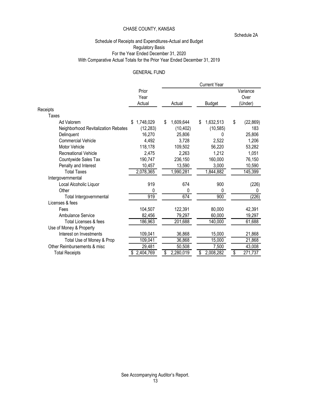Schedule 2A

# Schedule of Receipts and Expenditures-Actual and Budget Regulatory Basis For the Year Ended December 31, 2020 With Comparative Actual Totals for the Prior Year Ended December 31, 2019

## GENERAL FUND

|                                     |           |                      | <b>Current Year</b> |                 |
|-------------------------------------|-----------|----------------------|---------------------|-----------------|
|                                     | Prior     |                      |                     | Variance        |
|                                     | Year      |                      |                     | Over            |
|                                     | Actual    | Actual               | <b>Budget</b>       | (Under)         |
| Receipts                            |           |                      |                     |                 |
| Taxes                               |           |                      |                     |                 |
| Ad Valorem                          | 1,748,029 | 1,609,644<br>\$      | 1,632,513<br>\$     | \$<br>(22, 869) |
| Neighborhood Revitalization Rebates | (12, 283) | (10, 402)            | (10, 585)           | 183             |
| Delinquent                          | 16,270    | 25,806               |                     | 25,806          |
| <b>Commercial Vehicle</b>           | 4,492     | 3,728                | 2,522               | 1,206           |
| Motor Vehicle                       | 118,178   | 109,502              | 56,220              | 53,282          |
| <b>Recreational Vehicle</b>         | 2,475     | 2,263                | 1,212               | 1,051           |
| Countywide Sales Tax                | 190,747   | 236,150              | 160,000             | 76,150          |
| Penalty and Interest                | 10,457    | 13,590               | 3,000               | 10,590          |
| <b>Total Taxes</b>                  | 2,078,365 | 1,990,281            | 1,844,882           | 145,399         |
| Intergovernmental                   |           |                      |                     |                 |
| Local Alcoholic Liquor              | 919       | 674                  | 900                 | (226)           |
| Other                               | 0         | 0                    | 0                   | 0               |
| Total Intergovernmental             | 919       | 674                  | 900                 | (226)           |
| Licenses & fees                     |           |                      |                     |                 |
| Fees                                | 104,507   | 122,391              | 80,000              | 42,391          |
| Ambulance Service                   | 82,456    | 79,297               | 60,000              | 19,297          |
| <b>Total Licenses &amp; fees</b>    | 186,963   | $\overline{201,}688$ | 140,000             | 61,688          |
| Use of Money & Property             |           |                      |                     |                 |
| Interest on Investments             | 109,041   | 36,868               | 15,000              | 21,868          |
| Total Use of Money & Prop           | 109,041   | 36,868               | 15,000              | 21,868          |
| Other Reimbursements & misc         | 29,481    | 50,508               | 7,500               | 43,008          |
| <b>Total Receipts</b>               | 2,404,769 | 2,280,019            | 2,008,282<br>\$     | 271,737<br>\$   |
|                                     |           |                      |                     |                 |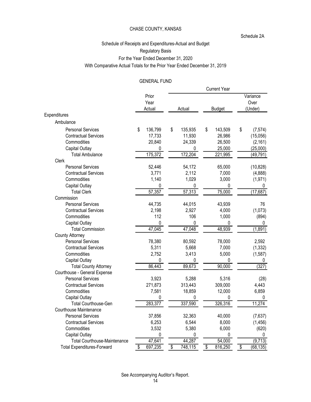#### Schedule 2A

# Schedule of Receipts and Expenditures-Actual and Budget Regulatory Basis For the Year Ended December 31, 2020 With Comparative Actual Totals for the Prior Year Ended December 31, 2019

# GENERAL FUND

|                                     |                         |               | <b>Current Year</b> |                             |
|-------------------------------------|-------------------------|---------------|---------------------|-----------------------------|
|                                     | Prior<br>Year<br>Actual | Actual        | <b>Budget</b>       | Variance<br>Over<br>(Under) |
| Expenditures                        |                         |               |                     |                             |
| Ambulance                           |                         |               |                     |                             |
| <b>Personal Services</b>            | 136,799<br>\$           | \$<br>135,935 | \$<br>143,509       | \$<br>(7, 574)              |
| <b>Contractual Services</b>         | 17,733                  | 11,930        | 26,986              | (15,056)                    |
| Commodities                         | 20,840                  | 24,339        | 26,500              | (2, 161)                    |
| Capital Outlay                      | 0                       | 0             | 25,000              | (25,000)                    |
| <b>Total Ambulance</b>              | 175,372                 | 172,204       | 221,995             | (49, 791)                   |
| Clerk                               |                         |               |                     |                             |
| <b>Personal Services</b>            | 52,446                  | 54,172        | 65,000              | (10, 828)                   |
| <b>Contractual Services</b>         | 3,771                   | 2,112         | 7,000               | (4,888)                     |
| Commodities                         | 1,140                   | 1,029         | 3,000               | (1,971)                     |
| Capital Outlay                      | 0                       | 0             | 0                   | $\mathbf{0}$                |
| <b>Total Clerk</b>                  | 57,357                  | 57,313        | 75,000              | (17, 687)                   |
| Commission                          |                         |               |                     |                             |
| <b>Personal Services</b>            | 44,735                  | 44,015        | 43,939              | 76                          |
| <b>Contractual Services</b>         | 2,198                   | 2,927         | 4,000               | (1,073)                     |
| Commodities                         | 112                     | 106           | 1,000               | (894)                       |
| Capital Outlay                      | $\mathbf 0$             | 0             | 0                   | 0                           |
| <b>Total Commission</b>             | 47,045                  | 47,048        | 48,939              | (1,891)                     |
| <b>County Attorney</b>              |                         |               |                     |                             |
| <b>Personal Services</b>            | 78,380                  | 80,592        | 78,000              | 2,592                       |
| <b>Contractual Services</b>         | 5,311                   | 5,668         | 7,000               | (1, 332)                    |
| Commodities                         | 2,752                   | 3,413         | 5,000               | (1,587)                     |
| Capital Outlay                      | 0                       | 0             | 0                   | 0                           |
| <b>Total County Attorney</b>        | 86,443                  | 89,673        | 90,000              | (327)                       |
| Courthouse - General Expense        |                         |               |                     |                             |
| <b>Personal Services</b>            | 3,923                   | 5,288         | 5,316               | (28)                        |
| <b>Contractual Services</b>         | 271,873                 | 313,443       | 309,000             | 4,443                       |
| Commodities                         | 7,581                   | 18,859        | 12,000              | 6,859                       |
| Capital Outlay                      | 0                       | 0             | $\Omega$            | $\Omega$                    |
| <b>Total Courthouse-Gen</b>         | 283,377                 | 337,590       | 326,316             | 11,274                      |
| Courthouse Maintenance              |                         |               |                     |                             |
| <b>Personal Services</b>            | 37,856                  | 32,363        | 40,000              | (7,637)                     |
| <b>Contractual Services</b>         | 6,253                   | 6,544         | 8,000               | (1, 456)                    |
| Commodities                         | 3,532                   | 5,380         | 6,000               | (620)                       |
| Capital Outlay                      | 0                       | 0             | $\Omega$            | 0                           |
| <b>Total Courthouse-Maintenance</b> | 47,641                  | 44,287        | 54,000              | (9,713)                     |
| <b>Total Expenditures-Forward</b>   | \$<br>697,235           | \$<br>748,115 | \$<br>816,250       | \$<br>(68, 135)             |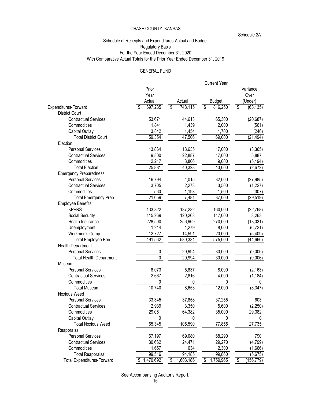Schedule 2A

#### Schedule of Receipts and Expenditures-Actual and Budget Regulatory Basis For the Year Ended December 31, 2020 With Comparative Actual Totals for the Prior Year Ended December 31, 2019

# GENERAL FUND

|                                   |             |                         | <b>Current Year</b>       |                 |
|-----------------------------------|-------------|-------------------------|---------------------------|-----------------|
|                                   | Prior       |                         |                           | Variance        |
|                                   | Year        |                         |                           | Over            |
|                                   | Actual      | Actual                  | <b>Budget</b>             | (Under)         |
| Expenditures-Forward              | 697,235     | 748,115<br>\$           | 816,250<br>\$             | \$<br>(68, 135) |
| <b>District Court</b>             |             |                         |                           |                 |
| <b>Contractual Services</b>       | 53,671      | 44,613                  | 65,300                    | (20, 687)       |
| Commodities                       | 1,841       | 1,439                   | 2,000                     | (561)           |
| Capital Outlay                    | 3,842       | 1,454                   | 1,700                     | (246)           |
| <b>Total District Court</b>       | 59,354      | 47,506                  | 69,000                    | (21, 494)       |
| Election                          |             |                         |                           |                 |
| <b>Personal Services</b>          | 13,864      | 13,635                  | 17,000                    | (3, 365)        |
| <b>Contractual Services</b>       | 9,800       | 22,887                  | 17,000                    | 5,887           |
| Commodities                       | 2,217       | 3,806                   | 9,000                     | (5, 194)        |
| <b>Total Election</b>             | 25,881      | 40,328                  | 43,000                    | (2,672)         |
| <b>Emergency Preparedness</b>     |             |                         |                           |                 |
| <b>Personal Services</b>          | 16,794      | 4,015                   | 32,000                    | (27, 985)       |
| <b>Contractual Services</b>       | 3,705       | 2,273                   | 3,500                     | (1, 227)        |
| Commodities                       | 560         | 1,193                   | 1,500                     | (307)           |
| <b>Total Emergency Prep</b>       | 21,059      | 7,481                   | 37,000                    | (29, 519)       |
| <b>Employee Benefits</b>          |             |                         |                           |                 |
| <b>KPERS</b>                      | 133,822     | 137,232                 | 160,000                   | (22, 768)       |
| Social Security                   | 115,269     | 120,263                 | 117,000                   | 3,263           |
| Health Insurance                  | 228,500     | 256,969                 | 270,000                   | (13,031)        |
| Unemployment                      | 1,244       | 1,279                   | 8,000                     | (6, 721)        |
| Workmen's Comp                    | 12,727      | 14,591                  | 20,000                    | (5, 409)        |
| <b>Total Employee Ben</b>         | 491,562     | 530,334                 | 575,000                   | (44, 666)       |
| Health Department                 |             |                         |                           |                 |
| <b>Personal Services</b>          | 0           | 20,994                  | 30,000                    | (9,006)         |
| <b>Total Health Department</b>    | 0           | 20,994                  | 30,000                    | (9,006)         |
| Museum                            |             |                         |                           |                 |
| <b>Personal Services</b>          | 8,073       | 5,837                   | 8,000                     | (2, 163)        |
| <b>Contractual Services</b>       | 2,667       | 2,816                   | 4,000                     | (1, 184)        |
| Commodities                       | 0           | 0                       | 0                         | 0               |
| <b>Total Museum</b>               | 10,740      | 8,653                   | 12,000                    | (3, 347)        |
| Noxious Weed                      |             |                         |                           |                 |
| <b>Personal Services</b>          | 33,345      | 37,858                  | 37,255                    | 603             |
| <b>Contractual Services</b>       | 2,939       | 3,350                   | 5,600                     | (2, 250)        |
| Commodities                       | 29,061      | 64,382                  | 35,000                    | 29,382          |
| Capital Outlay                    | 0           | 0                       | 0                         | 0               |
| <b>Total Noxious Weed</b>         | 65,345      | 105,590                 | 77,855                    | 27,735          |
| Reappraisal                       |             |                         |                           |                 |
| <b>Personal Services</b>          | 67,197      | 69,080                  | 68,290                    | 790             |
| <b>Contractual Services</b>       | 30,662      | 24,471                  | 29,270                    | (4, 799)        |
| Commodities                       | 1,657       | 634                     | 2,300                     | (1,666)         |
| <b>Total Reappraisal</b>          | 99,516      | 94,185                  | 99,860                    | (5,675)         |
|                                   | \$1,470,692 | $\sqrt{2}$<br>1,603,186 | 1,759,965<br>$\mathbb{S}$ | \$              |
| <b>Total Expenditures-Forward</b> |             |                         |                           | (156, 779)      |

See Accompanying Auditor's Report.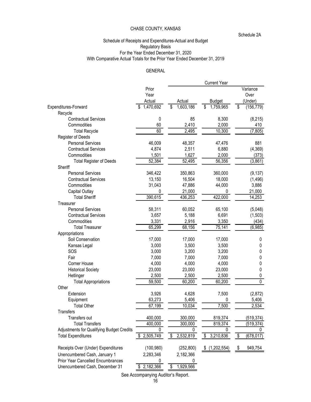Schedule 2A

#### Schedule of Receipts and Expenditures-Actual and Budget Regulatory Basis For the Year Ended December 31, 2020 With Comparative Actual Totals for the Prior Year Ended December 31, 2019

# GENERAL

|                                                                            |                                                            |                 | <b>Current Year</b> |                   |
|----------------------------------------------------------------------------|------------------------------------------------------------|-----------------|---------------------|-------------------|
|                                                                            | Prior                                                      |                 |                     | Variance          |
|                                                                            | Year                                                       |                 |                     | Over              |
|                                                                            | Actual                                                     | Actual          | <b>Budget</b>       | (Under)           |
| Expenditures-Forward                                                       | 1,470,692<br>\$                                            | \$<br>1,603,186 | \$<br>1,759,965     | \$<br>(156, 779)  |
| Recycle                                                                    |                                                            |                 |                     |                   |
| <b>Contractual Services</b>                                                | 0                                                          | 85              | 8,300               | (8, 215)          |
| Commodities                                                                | 60                                                         | 2,410           | 2,000               | 410               |
| <b>Total Recycle</b>                                                       | 60                                                         | 2,495           | 10,300              | (7, 805)          |
| Register of Deeds                                                          |                                                            |                 |                     |                   |
| <b>Personal Services</b>                                                   | 46,009                                                     | 48,357          | 47,476              | 881               |
| <b>Contractual Services</b>                                                | 4,874                                                      | 2,511           | 6,880               | (4, 369)          |
| Commodities                                                                | 1,501                                                      | 1,627           | 2,000               | (373)             |
| <b>Total Register of Deeds</b>                                             | 52,384                                                     | 52,495          | 56,356              | (3,861)           |
| Sheriff                                                                    |                                                            |                 |                     |                   |
| <b>Personal Services</b>                                                   | 346,422                                                    | 350,863         | 360,000             | (9, 137)          |
| <b>Contractual Services</b>                                                | 13,150                                                     | 16,504          | 18,000              |                   |
| Commodities                                                                | 31,043                                                     |                 |                     | (1, 496)<br>3,886 |
|                                                                            |                                                            | 47,886          | 44,000              |                   |
| Capital Outlay                                                             | 0                                                          | 21,000          | 0                   | 21,000            |
| <b>Total Sheriff</b>                                                       | 390,615                                                    | 436,253         | 422,000             | 14,253            |
| Treasurer                                                                  |                                                            |                 |                     |                   |
| <b>Personal Services</b>                                                   | 58,311                                                     | 60,052          | 65,100              | (5,048)           |
| <b>Contractual Services</b>                                                | 3,657                                                      | 5,188           | 6,691               | (1,503)           |
| Commodities                                                                | 3,331                                                      | 2,916           | 3,350               | (434)             |
| <b>Total Treasurer</b>                                                     | 65,299                                                     | 68,156          | 75,141              | (6, 985)          |
| Appropriations                                                             |                                                            |                 |                     |                   |
| Soil Conservation                                                          | 17,000                                                     | 17,000          | 17,000              | 0                 |
| Kansas Legal                                                               | 3,000                                                      | 3,500           | 3,500               | 0                 |
| SOS                                                                        | 3,000                                                      | 3,200           | 3,200               | 0                 |
| Fair                                                                       | 7,000                                                      | 7,000           | 7,000               | 0                 |
| Corner House                                                               | 4,000                                                      | 4,000           | 4,000               | 0                 |
| <b>Historical Society</b>                                                  | 23,000                                                     | 23,000          | 23,000              | 0                 |
| Hetlinger                                                                  | 2,500                                                      | 2,500           | 2,500               | 0                 |
| <b>Total Appropriations</b>                                                | 59,500                                                     | 60,200          | 60,200              | 0                 |
| Other                                                                      |                                                            |                 |                     |                   |
| Extension                                                                  | 3,926                                                      | 4,628           | 7,500               | (2,872)           |
| Equipment                                                                  | 63,273                                                     | 5,406           | 0                   | 5,406             |
| <b>Total Other</b>                                                         | 67,199                                                     | 10,034          | 7,500               | 2,534             |
| Transfers                                                                  |                                                            |                 |                     |                   |
| Transfers out                                                              | 400,000                                                    | 300,000         | 819,374             | (519, 374)        |
| <b>Total Transfers</b>                                                     | 400,000                                                    | 300,000         | 819,374             | (519, 374)        |
| Adjustments for Qualifying Budget Credits                                  | 0                                                          | 0               | $\Omega$            | 0                 |
| <b>Total Expenditures</b>                                                  | \$2,505,749                                                | 2,532,819<br>\$ | \$3,210,836         | (678, 017)<br>S   |
|                                                                            |                                                            |                 |                     |                   |
| Receipts Over (Under) Expenditures                                         | (100, 980)                                                 | (252, 800)      | \$(1,202,554)       | 949,754<br>\$     |
|                                                                            |                                                            |                 |                     |                   |
| Unencumbered Cash, January 1                                               | 2,283,346                                                  | 2,182,366       |                     |                   |
|                                                                            |                                                            |                 |                     |                   |
|                                                                            |                                                            |                 |                     |                   |
| <b>Prior Year Cancelled Encumbrances</b><br>Unencumbered Cash, December 31 | 0<br>2,182,366<br>See Accompanying Auditor's Report.<br>16 | 1,929,566<br>S  |                     |                   |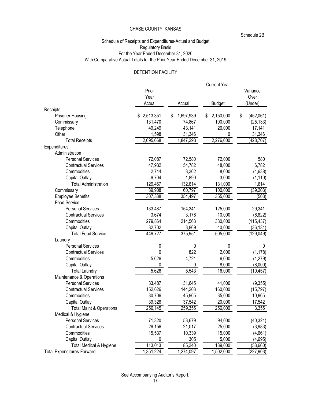Schedule 2B

## Schedule of Receipts and Expenditures-Actual and Budget Regulatory Basis For the Year Ended December 31, 2020 With Comparative Actual Totals for the Prior Year Ended December 31, 2019

#### DETENTION FACILITY

|                                     |             |                 | <b>Current Year</b> |                 |
|-------------------------------------|-------------|-----------------|---------------------|-----------------|
|                                     | Prior       |                 |                     | Variance        |
|                                     | Year        |                 |                     | Over            |
|                                     | Actual      | Actual          | <b>Budget</b>       | (Under)         |
| Receipts                            |             |                 |                     |                 |
| <b>Prisoner Housing</b>             | \$2,513,351 | 1,697,939<br>\$ | 2,150,000<br>S      | (452,061)<br>\$ |
| Commissary                          | 131,470     | 74,867          | 100,000             | (25, 133)       |
| Telephone                           | 49,249      | 43,141          | 26,000              | 17,141          |
| Other                               | 1,598       | 31,346          | 0                   | 31,346          |
| <b>Total Receipts</b>               | 2,695,668   | 1,847,293       | 2,276,000           | (428, 707)      |
| Expenditures                        |             |                 |                     |                 |
| Administration                      |             |                 |                     |                 |
| <b>Personal Services</b>            | 72,087      | 72,580          | 72,000              | 580             |
| <b>Contractual Services</b>         | 47,932      | 54,782          | 48,000              | 6,782           |
| Commodities                         | 2,744       | 3,362           | 8,000               | (4,638)         |
| <b>Capital Outlay</b>               | 6,704       | 1,890           | 3,000               | (1, 110)        |
| <b>Total Administration</b>         | 129,467     | 132,614         | 131,000             | 1,614           |
| Commissary                          | 89,908      | 60,797          | 100,000             | (39, 203)       |
| <b>Employee Benefits</b>            | 307,338     | 354,497         | 355,000             | (503)           |
| <b>Food Service</b>                 |             |                 |                     |                 |
| <b>Personal Services</b>            | 133,487     | 154,341         | 125,000             | 29,341          |
| <b>Contractual Services</b>         | 3,674       | 3,178           | 10,000              | (6,822)         |
| Commodities                         | 279,864     | 214,563         | 330,000             | (115, 437)      |
| Capital Outlay                      | 32,702      | 3,869           | 40,000              | (36, 131)       |
| <b>Total Food Service</b>           | 449,727     | 375,951         | 505,000             | (129, 049)      |
| Laundry                             |             |                 |                     |                 |
| <b>Personal Services</b>            | 0           | 0               | 0                   | 0               |
| <b>Contractual Services</b>         | 0           | 822             | 2,000               | (1, 178)        |
| Commodities                         | 5,626       | 4,721           | 6,000               | (1,279)         |
| Capital Outlay                      | 0           | 0               | 8,000               | (8,000)         |
| <b>Total Laundry</b>                | 5,626       | 5,543           | 16,000              | (10, 457)       |
| Maintenance & Operations            |             |                 |                     |                 |
| <b>Personal Services</b>            | 33,487      | 31,645          | 41,000              | (9,355)         |
| <b>Contractual Services</b>         | 152,626     | 144,203         | 160,000             | (15, 797)       |
| Commodities                         | 30,706      | 45,965          | 35,000              | 10,965          |
| Capital Outlay                      | 39,326      | 37,542          | 20,000              | 17,542          |
| <b>Total Maint &amp; Operations</b> | 256,145     | 259,355         | 256,000             | 3,355           |
| Medical & Hygiene                   |             |                 |                     |                 |
| <b>Personal Services</b>            | 71,320      | 53,679          | 94,000              | (40, 321)       |
| <b>Contractual Services</b>         | 26,156      | 21,017          | 25,000              | (3,983)         |
| Commodities                         | 15,537      | 10,339          | 15,000              | (4,661)         |
| Capital Outlay                      | 0           | 305             | 5,000               | (4,695)         |
| Total Medical & Hygiene             | 113,013     | 85,340          | 139,000             | (53,660)        |
| <b>Total Expenditures-Forward</b>   | 1,351,224   | 1,274,097       | 1,502,000           | (227, 903)      |

See Accompanying Auditor's Report.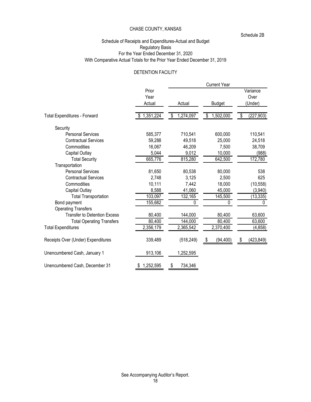Schedule 2B

## Schedule of Receipts and Expenditures-Actual and Budget Regulatory Basis For the Year Ended December 31, 2020 With Comparative Actual Totals for the Prior Year Ended December 31, 2019

#### DETENTION FACILITY

|                                     |                         |                 | <b>Current Year</b> |                             |
|-------------------------------------|-------------------------|-----------------|---------------------|-----------------------------|
|                                     | Prior<br>Year<br>Actual | Actual          | <b>Budget</b>       | Variance<br>Over<br>(Under) |
| <b>Total Expenditures - Forward</b> | 1,351,224               | 1,274,097<br>\$ | 1,502,000<br>\$     | (227, 903)<br>S             |
| Security                            |                         |                 |                     |                             |
| <b>Personal Services</b>            | 585,377                 | 710,541         | 600,000             | 110,541                     |
| <b>Contractual Services</b>         | 59,288                  | 49,518          | 25,000              | 24,518                      |
| Commodities                         | 16,067                  | 46,209          | 7,500               | 38,709                      |
| Capital Outlay                      | 5,044                   | 9,012           | 10,000              | (988)                       |
| <b>Total Security</b>               | 665,776                 | 815,280         | 642,500             | 172,780                     |
| Transportation                      |                         |                 |                     |                             |
| <b>Personal Services</b>            | 81,650                  | 80,538          | 80,000              | 538                         |
| <b>Contractual Services</b>         | 2,748                   | 3,125           | 2,500               | 625                         |
| Commodities                         | 10,111                  | 7,442           | 18,000              | (10, 558)                   |
| Capital Outlay                      | 8,588                   | 41,060          | 45,000              | (3,940)                     |
| <b>Total Transportation</b>         | 103,097                 | 132,165         | 145,500             | (13, 335)                   |
| Bond payment                        | 155,682                 | 0               | 0                   | 0                           |
| <b>Operating Transfers</b>          |                         |                 |                     |                             |
| <b>Transfer to Detention Excess</b> | 80,400                  | 144,000         | 80,400              | 63,600                      |
| <b>Total Operating Transfers</b>    | 80,400                  | 144,000         | 80,400              | 63,600                      |
| <b>Total Expenditures</b>           | 2,356,179               | 2,365,542       | 2,370,400           | (4,858)                     |
| Receipts Over (Under) Expenditures  | 339,489                 | (518, 249)      | (94, 400)<br>\$     | (423, 849)                  |
| Unencumbered Cash, January 1        | 913,106                 | 1,252,595       |                     |                             |
| Unencumbered Cash, December 31      | 1,252,595               | 734,346         |                     |                             |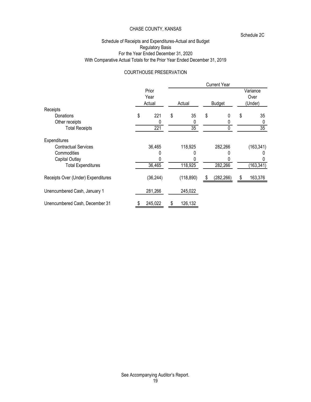Schedule 2C

## Schedule of Receipts and Expenditures-Actual and Budget Regulatory Basis For the Year Ended December 31, 2020 With Comparative Actual Totals for the Prior Year Ended December 31, 2019

#### COURTHOUSE PRESERVATION

|                                    |                         |               | <b>Current Year</b> |                             |
|------------------------------------|-------------------------|---------------|---------------------|-----------------------------|
|                                    | Prior<br>Year<br>Actual | Actual        | <b>Budget</b>       | Variance<br>Over<br>(Under) |
| Receipts                           |                         |               |                     |                             |
| Donations                          | \$<br>221               | \$<br>35      | \$<br>0             | \$<br>35                    |
| Other receipts                     |                         |               |                     |                             |
| <b>Total Receipts</b>              | 221                     | 35            |                     | 35                          |
| Expenditures                       |                         |               |                     |                             |
| <b>Contractual Services</b>        | 36,465                  | 118,925       | 282,266             | (163, 341)                  |
| Commodities                        |                         |               |                     |                             |
| Capital Outlay                     |                         |               |                     |                             |
| <b>Total Expenditures</b>          | 36,465                  | 118,925       | 282,266             | (163, 341)                  |
| Receipts Over (Under) Expenditures | (36, 244)               | (118, 890)    | (282, 266)          | 163,376                     |
| Unencumbered Cash, January 1       | 281,266                 | 245,022       |                     |                             |
| Unencumbered Cash, December 31     | 245,022                 | \$<br>126,132 |                     |                             |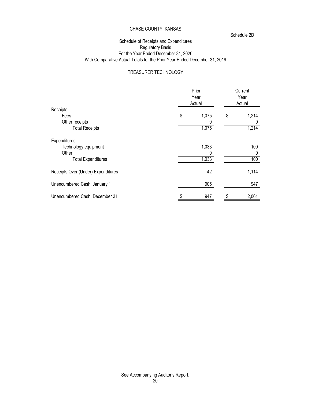Schedule 2D

# Schedule of Receipts and Expenditures Regulatory Basis For the Year Ended December 31, 2020 With Comparative Actual Totals for the Prior Year Ended December 31, 2019

# TREASURER TECHNOLOGY

|                                    | Prior<br>Year<br>Actual | Current<br>Year<br>Actual |       |  |
|------------------------------------|-------------------------|---------------------------|-------|--|
| Receipts                           |                         |                           |       |  |
| Fees                               | \$<br>1,075             | \$                        | 1,214 |  |
| Other receipts                     | 0                       |                           |       |  |
| <b>Total Receipts</b>              | 1,075                   |                           | 1,214 |  |
| Expenditures                       |                         |                           |       |  |
| Technology equipment               | 1,033                   |                           | 100   |  |
| Other                              | 0                       |                           |       |  |
| <b>Total Expenditures</b>          | 1,033                   |                           | 100   |  |
| Receipts Over (Under) Expenditures | 42                      |                           | 1,114 |  |
| Unencumbered Cash, January 1       | 905                     |                           | 947   |  |
| Unencumbered Cash, December 31     | 947                     | S                         | 2,061 |  |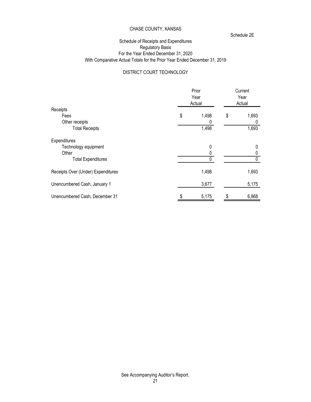Schedule 2E

## Schedule of Receipts and Expenditures Regulatory Basis For the Year Ended December 31, 2020 With Comparative Actual Totals for the Prior Year Ended December 31, 2019

# DISTRICT COURT TECHNOLOGY

|                                    | Prior<br>Year<br>Actual |       | Current<br>Year<br>Actual |       |  |
|------------------------------------|-------------------------|-------|---------------------------|-------|--|
| Receipts                           |                         |       |                           |       |  |
| Fees                               | \$                      | 1,498 | \$                        | 1,693 |  |
| Other receipts                     |                         |       |                           |       |  |
| <b>Total Receipts</b>              |                         | 1,498 |                           | 1,693 |  |
| Expenditures                       |                         |       |                           |       |  |
| Technology equipment               |                         | 0     |                           | 0     |  |
| Other                              |                         |       |                           |       |  |
| <b>Total Expenditures</b>          |                         |       |                           |       |  |
| Receipts Over (Under) Expenditures |                         | 1,498 |                           | 1,693 |  |
| Unencumbered Cash, January 1       |                         | 3,677 |                           | 5,175 |  |
| Unencumbered Cash, December 31     |                         | 5,175 |                           | 6,868 |  |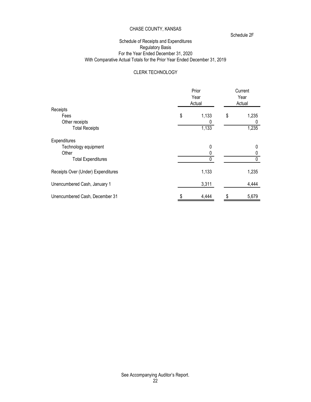Schedule 2F

# Schedule of Receipts and Expenditures Regulatory Basis For the Year Ended December 31, 2020 With Comparative Actual Totals for the Prior Year Ended December 31, 2019

## CLERK TECHNOLOGY

|                                    | Prior<br>Year<br>Actual | Current<br>Year<br>Actual |       |  |
|------------------------------------|-------------------------|---------------------------|-------|--|
| Receipts                           |                         |                           |       |  |
| Fees                               | \$<br>1,133             | \$                        | 1,235 |  |
| Other receipts                     | 0                       |                           |       |  |
| <b>Total Receipts</b>              | 1,133                   |                           | 1,235 |  |
| Expenditures                       |                         |                           |       |  |
| Technology equipment               | 0                       |                           |       |  |
| Other                              |                         |                           |       |  |
| <b>Total Expenditures</b>          | 0                       |                           |       |  |
| Receipts Over (Under) Expenditures | 1,133                   |                           | 1,235 |  |
| Unencumbered Cash, January 1       | 3,311                   |                           | 4,444 |  |
| Unencumbered Cash, December 31     | 4,444                   | S                         | 5,679 |  |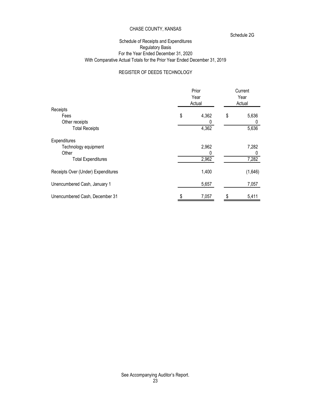Schedule 2G

## Schedule of Receipts and Expenditures Regulatory Basis For the Year Ended December 31, 2020 With Comparative Actual Totals for the Prior Year Ended December 31, 2019

# REGISTER OF DEEDS TECHNOLOGY

|                                    | Prior<br>Year<br>Actual | Current<br>Year<br>Actual |         |  |
|------------------------------------|-------------------------|---------------------------|---------|--|
| Receipts                           |                         |                           |         |  |
| Fees                               | \$<br>4,362             | \$                        | 5,636   |  |
| Other receipts                     |                         |                           |         |  |
| <b>Total Receipts</b>              | 4,362                   |                           | 5,636   |  |
| Expenditures                       |                         |                           |         |  |
| Technology equipment               | 2,962                   |                           | 7,282   |  |
| Other                              | 0                       |                           |         |  |
| <b>Total Expenditures</b>          | 2,962                   |                           | 7,282   |  |
| Receipts Over (Under) Expenditures | 1,400                   |                           | (1,646) |  |
| Unencumbered Cash, January 1       | 5,657                   |                           | 7,057   |  |
| Unencumbered Cash, December 31     | 7,057                   | S                         | 5,411   |  |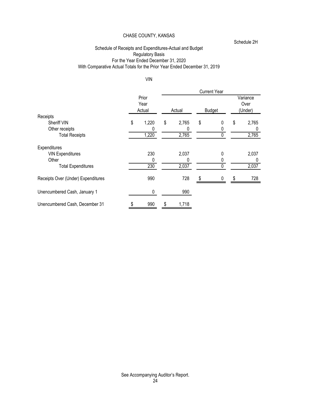Schedule 2H

# Schedule of Receipts and Expenditures-Actual and Budget Regulatory Basis **Exercise Servers** For the Year Ended December 31, 2020 With Comparative Actual Totals for the Prior Year Ended December 31, 2019

#### VIN

|                                    |                         |             | <b>Current Year</b> |    |                             |
|------------------------------------|-------------------------|-------------|---------------------|----|-----------------------------|
|                                    | Prior<br>Year<br>Actual | Actual      | Budget              |    | Variance<br>Over<br>(Under) |
| Receipts                           |                         |             |                     |    |                             |
| Sheriff VIN                        | \$<br>1,220             | \$<br>2,765 | \$<br>0             | \$ | 2,765                       |
| Other receipts                     | 0                       |             |                     |    |                             |
| <b>Total Receipts</b>              | 1,220                   | 2,765       |                     |    | 2,765                       |
| Expenditures                       |                         |             |                     |    |                             |
| <b>VIN Expenditures</b>            | 230                     | 2,037       | 0                   |    | 2,037                       |
| Other                              |                         |             |                     |    |                             |
| <b>Total Expenditures</b>          | 230                     | 2,037       |                     |    | 2,037                       |
| Receipts Over (Under) Expenditures | 990                     | 728         | 0                   | S  | 728                         |
| Unencumbered Cash, January 1       | 0                       | 990         |                     |    |                             |
| Unencumbered Cash, December 31     | 990                     | \$<br>1,718 |                     |    |                             |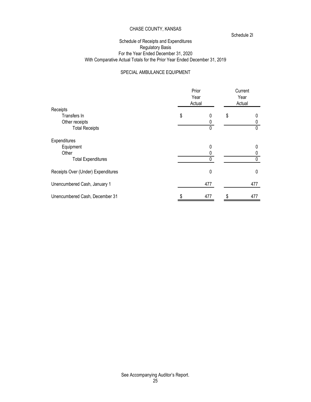Schedule 2I

## Schedule of Receipts and Expenditures Regulatory Basis For the Year Ended December 31, 2020 With Comparative Actual Totals for the Prior Year Ended December 31, 2019

## SPECIAL AMBULANCE EQUIPMENT

|                                    | Prior<br>Year<br>Actual |           | Current<br>Year<br>Actual |     |  |
|------------------------------------|-------------------------|-----------|---------------------------|-----|--|
| Receipts                           |                         |           |                           |     |  |
| Transfers In                       | \$                      | 0         | \$                        |     |  |
| Other receipts                     |                         |           |                           |     |  |
| <b>Total Receipts</b>              |                         | 0         |                           |     |  |
| Expenditures                       |                         |           |                           |     |  |
| Equipment                          |                         | 0         |                           |     |  |
| Other                              |                         |           |                           |     |  |
| <b>Total Expenditures</b>          |                         |           |                           |     |  |
| Receipts Over (Under) Expenditures |                         | $\pmb{0}$ |                           | 0   |  |
| Unencumbered Cash, January 1       |                         | 477       |                           | 477 |  |
| Unencumbered Cash, December 31     |                         | 477       | S                         | 477 |  |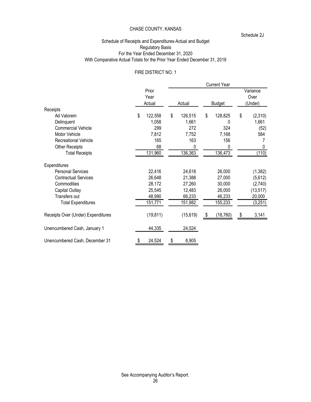Schedule 2J

## Schedule of Receipts and Expenditures-Actual and Budget Regulatory Basis For the Year Ended December 31, 2020 With Comparative Actual Totals for the Prior Year Ended December 31, 2019

#### FIRE DISTRICT NO. 1

|                                    |    |           |    |               |    | <b>Current Year</b>         |    |           |
|------------------------------------|----|-----------|----|---------------|----|-----------------------------|----|-----------|
| Prior<br>Year<br>Actual            |    | Actual    |    | <b>Budget</b> |    | Variance<br>Over<br>(Under) |    |           |
| Receipts                           |    |           |    |               |    |                             |    |           |
| Ad Valorem                         | \$ | 122,558   | \$ | 126,515       | \$ | 128,825                     | \$ | (2,310)   |
| Delinquent                         |    | 1,058     |    | 1,661         |    | 0                           |    | 1,661     |
| <b>Commercial Vehicle</b>          |    | 299       |    | 272           |    | 324                         |    | (52)      |
| Motor Vehicle                      |    | 7,812     |    | 7,752         |    | 7,168                       |    | 584       |
| Recreational Vehicle               |    | 165       |    | 163           |    | 156                         |    |           |
| Other Receipts                     |    | 68        |    | 0             |    | 0                           |    | 0         |
| <b>Total Receipts</b>              |    | 131,960   |    | 136,363       |    | 136,473                     |    | (110)     |
| Expenditures                       |    |           |    |               |    |                             |    |           |
| <b>Personal Services</b>           |    | 22,416    |    | 24,618        |    | 26,000                      |    | (1, 382)  |
| <b>Contractual Services</b>        |    | 26,648    |    | 21,388        |    | 27,000                      |    | (5,612)   |
| Commodities                        |    | 28,172    |    | 27,260        |    | 30,000                      |    | (2,740)   |
| Capital Outlay                     |    | 25,545    |    | 12,483        |    | 26,000                      |    | (13, 517) |
| Transfers out                      |    | 48,990    |    | 66,233        |    | 46,233                      |    | 20,000    |
| <b>Total Expenditures</b>          |    | 151,771   |    | 151,982       |    | 155,233                     |    | (3,251)   |
| Receipts Over (Under) Expenditures |    | (19, 811) |    | (15, 619)     | æ. | (18, 760)                   | \$ | 3,141     |
| Unencumbered Cash, January 1       |    | 44,335    |    | 24,524        |    |                             |    |           |
| Unencumbered Cash, December 31     |    | 24,524    | \$ | 8,905         |    |                             |    |           |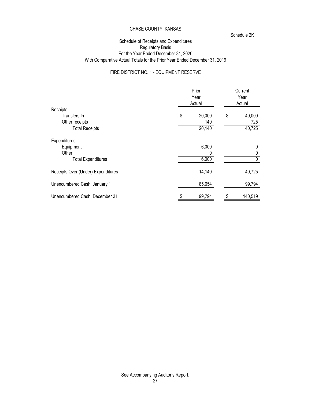Schedule 2K

#### Schedule of Receipts and Expenditures Regulatory Basis For the Year Ended December 31, 2020 With Comparative Actual Totals for the Prior Year Ended December 31, 2019

## FIRE DISTRICT NO. 1 - EQUIPMENT RESERVE

|                                    |    | Prior<br>Year<br>Actual | Current<br>Year<br>Actual |         |  |
|------------------------------------|----|-------------------------|---------------------------|---------|--|
| Receipts                           |    |                         |                           |         |  |
| Transfers In                       | \$ | 20,000                  | \$                        | 40,000  |  |
| Other receipts                     |    | 140                     |                           | 725     |  |
| <b>Total Receipts</b>              |    | 20,140                  |                           | 40,725  |  |
| Expenditures                       |    |                         |                           |         |  |
| Equipment                          |    | 6,000                   |                           |         |  |
| Other                              |    |                         |                           |         |  |
| <b>Total Expenditures</b>          |    | 6,000                   |                           |         |  |
| Receipts Over (Under) Expenditures |    | 14,140                  |                           | 40,725  |  |
| Unencumbered Cash, January 1       |    | 85,654                  |                           | 99,794  |  |
| Unencumbered Cash, December 31     |    | 99,794                  | \$                        | 140,519 |  |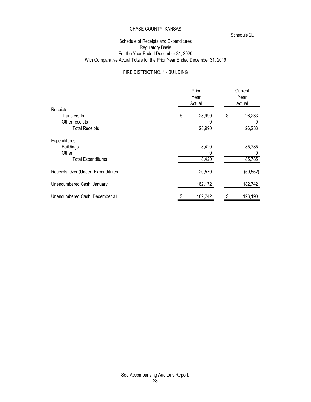Schedule 2L

## Schedule of Receipts and Expenditures Regulatory Basis For the Year Ended December 31, 2020 With Comparative Actual Totals for the Prior Year Ended December 31, 2019

# FIRE DISTRICT NO. 1 - BUILDING

|                                    |    | Prior<br>Year<br>Actual | Current<br>Year<br>Actual |           |  |
|------------------------------------|----|-------------------------|---------------------------|-----------|--|
| Receipts                           |    |                         |                           |           |  |
| Transfers In                       | \$ | 28,990                  | \$                        | 26,233    |  |
| Other receipts                     |    | 0                       |                           |           |  |
| <b>Total Receipts</b>              |    | 28,990                  |                           | 26,233    |  |
| Expenditures                       |    |                         |                           |           |  |
| <b>Buildings</b>                   |    | 8,420                   |                           | 85,785    |  |
| Other                              |    | 0                       |                           |           |  |
| <b>Total Expenditures</b>          |    | 8,420                   |                           | 85,785    |  |
| Receipts Over (Under) Expenditures |    | 20,570                  |                           | (59, 552) |  |
| Unencumbered Cash, January 1       |    | 162,172                 |                           | 182,742   |  |
| Unencumbered Cash, December 31     |    | 182,742                 | \$                        | 123,190   |  |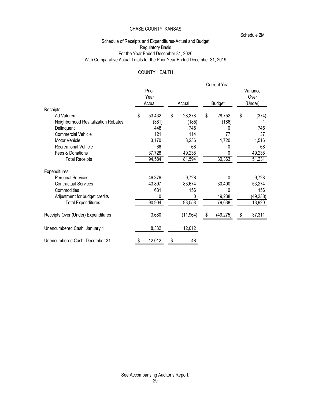Schedule 2M

## Schedule of Receipts and Expenditures-Actual and Budget Regulatory Basis For the Year Ended December 31, 2020 With Comparative Actual Totals for the Prior Year Ended December 31, 2019

## COUNTY HEALTH

|                                     |                         |        |           |               | <b>Current Year</b> |                             |           |
|-------------------------------------|-------------------------|--------|-----------|---------------|---------------------|-----------------------------|-----------|
|                                     | Prior<br>Year<br>Actual | Actual |           | <b>Budget</b> |                     | Variance<br>Over<br>(Under) |           |
| Receipts                            |                         |        |           |               |                     |                             |           |
| Ad Valorem                          | \$<br>53,432            | \$     | 28,378    | \$            | 28,752              | \$                          | (374)     |
| Neighborhood Revitalization Rebates | (381)                   |        | (185)     |               | (186)               |                             |           |
| Delinquent                          | 448                     |        | 745       |               | 0                   |                             | 745       |
| <b>Commercial Vehicle</b>           | 121                     |        | 114       |               | 77                  |                             | 37        |
| Motor Vehicle                       | 3,170                   |        | 3,236     |               | 1,720               |                             | 1,516     |
| Recreational Vehicle                | 66                      |        | 68        |               | 0                   |                             | 68        |
| Fees & Donations                    | 37,728                  |        | 49,238    |               | O                   |                             | 49,238    |
| <b>Total Receipts</b>               | 94,584                  |        | 81,594    |               | 30,363              |                             | 51,231    |
| Expenditures                        |                         |        |           |               |                     |                             |           |
| <b>Personal Services</b>            | 46,376                  |        | 9,728     |               | 0                   |                             | 9,728     |
| <b>Contractual Services</b>         | 43,897                  |        | 83,674    |               | 30,400              |                             | 53,274    |
| Commodities                         | 631                     |        | 156       |               | 0                   |                             | 156       |
| Adjustment for budget credits       | 0                       |        | 0         |               | 49,238              |                             | (49, 238) |
| <b>Total Expenditures</b>           | 90,904                  |        | 93,558    |               | 79,638              |                             | 13,920    |
| Receipts Over (Under) Expenditures  | 3,680                   |        | (11, 964) | S.            | (49, 275)           | \$                          | 37,311    |
| Unencumbered Cash, January 1        | 8,332                   |        | 12,012    |               |                     |                             |           |
| Unencumbered Cash, December 31      | 12,012                  |        | 48        |               |                     |                             |           |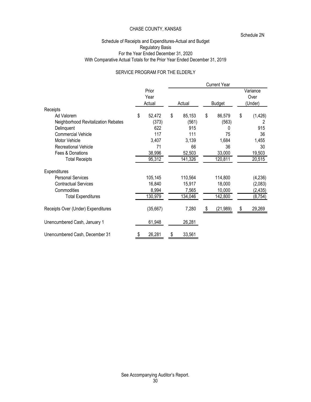Schedule 2N

## Schedule of Receipts and Expenditures-Actual and Budget Regulatory Basis For the Year Ended December 31, 2020 With Comparative Actual Totals for the Prior Year Ended December 31, 2019

# SERVICE PROGRAM FOR THE ELDERLY

|                                     |               |              | <b>Current Year</b> |                  |
|-------------------------------------|---------------|--------------|---------------------|------------------|
|                                     | Prior<br>Year |              |                     | Variance<br>Over |
|                                     | Actual        | Actual       | <b>Budget</b>       | (Under)          |
| Receipts                            |               |              |                     |                  |
| Ad Valorem                          | \$<br>52,472  | \$<br>85,153 | \$<br>86,579        | \$<br>(1, 426)   |
| Neighborhood Revitalization Rebates | (373)         | (561)        | (563)               | 2                |
| Delinquent                          | 622           | 915          | 0                   | 915              |
| <b>Commercial Vehicle</b>           | 117           | 111          | 75                  | 36               |
| Motor Vehicle                       | 3,407         | 3,139        | 1,684               | 1,455            |
| <b>Recreational Vehicle</b>         | 71            | 66           | 36                  | 30               |
| Fees & Donations                    | 38,996        | 52,503       | 33,000              | 19,503           |
| <b>Total Receipts</b>               | 95,312        | 141,326      | 120,811             | 20,515           |
| Expenditures                        |               |              |                     |                  |
| <b>Personal Services</b>            | 105,145       | 110,564      | 114,800             | (4,236)          |
| <b>Contractual Services</b>         | 16,840        | 15,917       | 18,000              | (2,083)          |
| Commodities                         | 8,994         | 7,565        | 10,000              | (2, 435)         |
| <b>Total Expenditures</b>           | 130,979       | 134,046      | 142,800             | (8, 754)         |
| Receipts Over (Under) Expenditures  | (35, 667)     | 7,280        | (21, 989)           | 29,269           |
| Unencumbered Cash, January 1        | 61,948        | 26,281       |                     |                  |
| Unencumbered Cash, December 31      | 26,281        | \$<br>33,561 |                     |                  |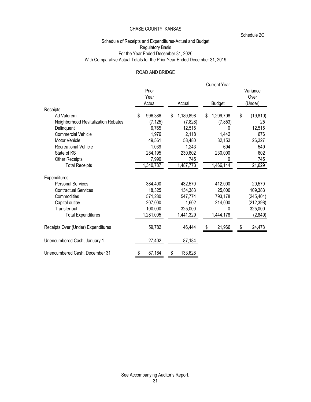Schedule 2O

## Schedule of Receipts and Expenditures-Actual and Budget Regulatory Basis For the Year Ended December 31, 2020 With Comparative Actual Totals for the Prior Year Ended December 31, 2019

# ROAD AND BRIDGE

|                                     |               |                 | <b>Current Year</b> |                 |
|-------------------------------------|---------------|-----------------|---------------------|-----------------|
|                                     | Prior         |                 |                     | Variance        |
|                                     | Year          |                 |                     | Over            |
|                                     | Actual        | Actual          | <b>Budget</b>       | (Under)         |
| Receipts                            |               |                 |                     |                 |
| Ad Valorem                          | 996,386<br>\$ | 1,189,898<br>\$ | 1,209,708<br>\$     | (19, 810)<br>\$ |
| Neighborhood Revitalization Rebates | (7, 125)      | (7, 828)        | (7, 853)            | 25              |
| Delinquent                          | 6,765         | 12,515          | 0                   | 12,515          |
| <b>Commercial Vehicle</b>           | 1,976         | 2,118           | 1,442               | 676             |
| Motor Vehicle                       | 49,561        | 58,480          | 32,153              | 26,327          |
| <b>Recreational Vehicle</b>         | 1,039         | 1,243           | 694                 | 549             |
| State of KS                         | 284,195       | 230,602         | 230,000             | 602             |
| Other Receipts                      | 7,990         | 745             | 0                   | 745             |
| <b>Total Receipts</b>               | 1,340,787     | 1,487,773       | 1,466,144           | 21,629          |
| Expenditures                        |               |                 |                     |                 |
| <b>Personal Services</b>            | 384,400       | 432,570         | 412,000             | 20,570          |
| <b>Contractual Services</b>         | 18,325        | 134,383         | 25,000              | 109,383         |
| Commodities                         | 571,280       | 547,774         | 793,178             | (245, 404)      |
| Capital outlay                      | 207,000       | 1,602           | 214,000             | (212, 398)      |
| Transfer out                        | 100,000       | 325,000         | 0                   | 325,000         |
| <b>Total Expenditures</b>           | ,281,005      | 1,441,329       | 1,444,178           | (2,849)         |
| Receipts Over (Under) Expenditures  | 59,782        | 46,444          | 21,966<br>-SS       | 24,478<br>\$    |
| Unencumbered Cash, January 1        | 27,402        | 87,184          |                     |                 |
| Unencumbered Cash, December 31      | 87,184<br>\$  | 133,628<br>\$   |                     |                 |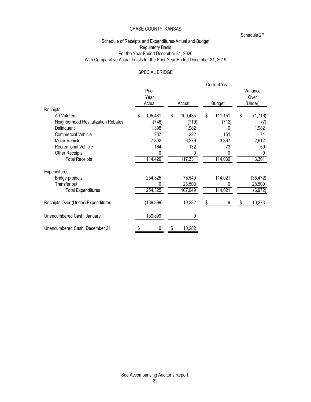Schedule 2P

## Schedule of Receipts and Expenditures-Actual and Budget Regulatory Basis For the Year Ended December 31, 2020 With Comparative Actual Totals for the Prior Year Ended December 31, 2019

#### SPECIAL BRIDGE

|                                     |                         |               | <b>Current Year</b> |                             |
|-------------------------------------|-------------------------|---------------|---------------------|-----------------------------|
|                                     | Prior<br>Year<br>Actual | Actual        | <b>Budget</b>       | Variance<br>Over<br>(Under) |
| Receipts                            |                         |               |                     |                             |
| Ad Valorem                          | 105,481<br>\$           | \$<br>109,435 | \$<br>111,151       | \$<br>(1,716)               |
| Neighborhood Revitalization Rebates | (746)                   | (719)         | (712)               | (7)                         |
| Delinquent                          | 1,398                   | 1,982         | 0                   | 1,982                       |
| <b>Commercial Vehicle</b>           | 237                     | 222           | 151                 | 71                          |
| Motor Vehicle                       | 7,892                   | 6,279         | 3,367               | 2,912                       |
| Recreational Vehicle                | 164                     | 132           | 73                  | 59                          |
| Other Receipts                      | 0                       | 0             | O                   |                             |
| <b>Total Receipts</b>               | 114,426                 | 117,331       | 114,030             | 3,301                       |
| Expenditures                        |                         |               |                     |                             |
| Bridge projects                     | 254,325                 | 78,549        | 114,021             | (35, 472)                   |
| Transfer out                        |                         | 28,500        | N                   | 28,500                      |
| <b>Total Expenditures</b>           | 254,325                 | 107,049       | 114,021             | (6, 972)                    |
| Receipts Over (Under) Expenditures  | (139, 899)              | 10,282        | 9                   | 10,273                      |
| Unencumbered Cash, January 1        | 139,899                 | 0             |                     |                             |
| Unencumbered Cash, December 31      | 0                       | 10,282        |                     |                             |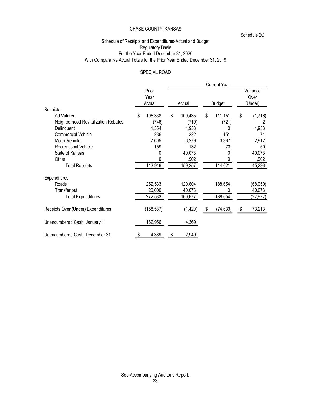Schedule 2Q

## Schedule of Receipts and Expenditures-Actual and Budget Regulatory Basis For the Year Ended December 31, 2020 With Comparative Actual Totals for the Prior Year Ended December 31, 2019

## SPECIAL ROAD

|                                     |                         |               |    | <b>Current Year</b> |                             |
|-------------------------------------|-------------------------|---------------|----|---------------------|-----------------------------|
|                                     | Prior<br>Year<br>Actual | Actual        |    | <b>Budget</b>       | Variance<br>Over<br>(Under) |
| Receipts                            |                         |               |    |                     |                             |
| Ad Valorem                          | 105,338<br>\$           | \$<br>109,435 | \$ | 111,151             | \$<br>(1,716)               |
| Neighborhood Revitalization Rebates | (746)                   | (719)         |    | (721)               | 2                           |
| Delinquent                          | 1,354                   | 1,933         |    | 0                   | 1,933                       |
| <b>Commercial Vehicle</b>           | 236                     | 222           |    | 151                 | 71                          |
| Motor Vehicle                       | 7,605                   | 6,279         |    | 3,367               | 2,912                       |
| <b>Recreational Vehicle</b>         | 159                     | 132           |    | 73                  | 59                          |
| State of Kansas                     | 0                       | 40,073        |    | 0                   | 40,073                      |
| Other                               | 0                       | 1,902         |    | 0                   | 1,902                       |
| <b>Total Receipts</b>               | 113,946                 | 159,257       |    | 114,021             | 45,236                      |
| Expenditures                        |                         |               |    |                     |                             |
| Roads                               | 252,533                 | 120,604       |    | 188,654             | (68,050)                    |
| Transfer out                        | 20,000                  | 40,073        |    | 0                   | 40,073                      |
| <b>Total Expenditures</b>           | 272,533                 | 160,677       |    | 188,654             | (27, 977)                   |
| Receipts Over (Under) Expenditures  | (158, 587)              | (1, 420)      | Ъ  | (74, 633)           | \$<br>73,213                |
| Unencumbered Cash, January 1        | 162,956                 | 4,369         |    |                     |                             |
| Unencumbered Cash, December 31      | 4,369                   | \$<br>2,949   |    |                     |                             |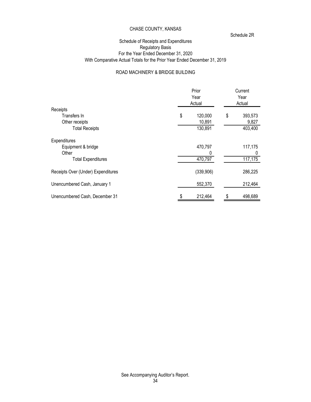Schedule 2R

## Schedule of Receipts and Expenditures Regulatory Basis For the Year Ended December 31, 2020 With Comparative Actual Totals for the Prior Year Ended December 31, 2019

# ROAD MACHINERY & BRIDGE BUILDING

|                                    | Prior<br>Year<br>Actual | Current<br>Year<br>Actual |         |  |
|------------------------------------|-------------------------|---------------------------|---------|--|
| Receipts                           |                         |                           |         |  |
| Transfers In                       | \$<br>120,000           | \$                        | 393,573 |  |
| Other receipts                     | 10,891                  |                           | 9,827   |  |
| <b>Total Receipts</b>              | 130,891                 |                           | 403,400 |  |
| Expenditures                       |                         |                           |         |  |
| Equipment & bridge                 | 470,797                 |                           | 117,175 |  |
| Other                              | 0                       |                           |         |  |
| <b>Total Expenditures</b>          | 470,797                 |                           | 117,175 |  |
| Receipts Over (Under) Expenditures | (339, 906)              |                           | 286,225 |  |
| Unencumbered Cash, January 1       | 552,370                 |                           | 212,464 |  |
| Unencumbered Cash, December 31     | 212,464                 | \$                        | 498,689 |  |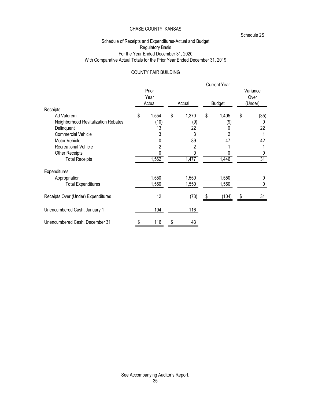Schedule 2S

## Schedule of Receipts and Expenditures-Actual and Budget Regulatory Basis For the Year Ended December 31, 2020 With Comparative Actual Totals for the Prior Year Ended December 31, 2019

## COUNTY FAIR BUILDING

|                                     |                         |                | <b>Current Year</b> |    |                             |
|-------------------------------------|-------------------------|----------------|---------------------|----|-----------------------------|
|                                     | Prior<br>Year<br>Actual | Actual         | <b>Budget</b>       |    | Variance<br>Over<br>(Under) |
| Receipts                            |                         |                |                     |    |                             |
| Ad Valorem                          | \$<br>1,554             | \$<br>1,370    | \$<br>1,405         | \$ | (35)                        |
| Neighborhood Revitalization Rebates | (10)                    | (9)            | (9)                 |    |                             |
| Delinquent                          | 13                      | 22             | 0                   |    | 22                          |
| <b>Commercial Vehicle</b>           | 3                       | 3              | $\overline{2}$      |    |                             |
| Motor Vehicle                       |                         | 89             | 47                  |    | 42                          |
| Recreational Vehicle                |                         | $\overline{2}$ |                     |    |                             |
| Other Receipts                      |                         | 0              |                     |    |                             |
| <b>Total Receipts</b>               | 1,562                   | 1,477          | 1,446               |    | $\overline{31}$             |
| Expenditures                        |                         |                |                     |    |                             |
| Appropriation                       | 1,550                   | 1,550          | 1,550               |    | 0                           |
| <b>Total Expenditures</b>           | 1,550                   | 1,550          | 1,550               |    |                             |
| Receipts Over (Under) Expenditures  | 12                      | (73)           | (104)               | S  | 31                          |
| Unencumbered Cash, January 1        | 104                     | 116            |                     |    |                             |
| Unencumbered Cash, December 31      | 116                     | 43             |                     |    |                             |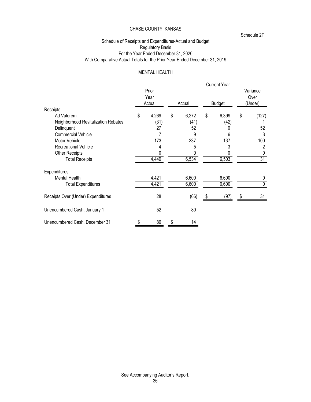Schedule 2T

## Schedule of Receipts and Expenditures-Actual and Budget Regulatory Basis For the Year Ended December 31, 2020 With Comparative Actual Totals for the Prior Year Ended December 31, 2019

## MENTAL HEALTH

|                                     |                         |             |    | <b>Current Year</b> |    |                             |
|-------------------------------------|-------------------------|-------------|----|---------------------|----|-----------------------------|
|                                     | Prior<br>Year<br>Actual | Actual      |    | <b>Budget</b>       |    | Variance<br>Over<br>(Under) |
| Receipts                            |                         |             |    |                     |    |                             |
| Ad Valorem                          | \$<br>4,269             | \$<br>6,272 | \$ | 6,399               | \$ | (127)                       |
| Neighborhood Revitalization Rebates | (31)                    | (41)        |    | (42)                |    |                             |
| Delinquent                          | 27                      | 52          |    |                     |    | 52                          |
| <b>Commercial Vehicle</b>           |                         | 9           |    | 6                   |    | 3                           |
| Motor Vehicle                       | 173                     | 237         |    | 137                 |    | 100                         |
| Recreational Vehicle                | 4                       | 5           |    | 3                   |    | 2                           |
| Other Receipts                      |                         |             |    |                     |    |                             |
| <b>Total Receipts</b>               | 4,449                   | 6,534       |    | 6,503               |    | $\overline{31}$             |
| Expenditures                        |                         |             |    |                     |    |                             |
| Mental Health                       | 4,421                   | 6,600       |    | 6,600               |    | 0                           |
| <b>Total Expenditures</b>           | 4,421                   | 6,600       |    | 6,600               |    | 0                           |
| Receipts Over (Under) Expenditures  | 28                      | (66)        | æ. | (97)                | S  | 31                          |
| Unencumbered Cash, January 1        | 52                      | 80          |    |                     |    |                             |
| Unencumbered Cash, December 31      | \$<br>80                | 14          |    |                     |    |                             |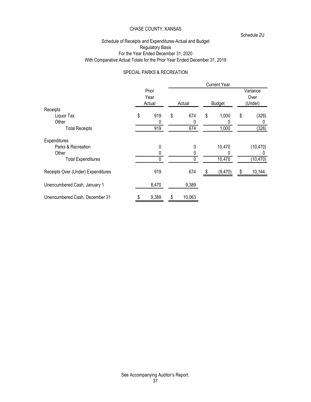Schedule 2U

## Schedule of Receipts and Expenditures-Actual and Budget Regulatory Basis For the Year Ended December 31, 2020 With Comparative Actual Totals for the Prior Year Ended December 31, 2019

#### SPECIAL PARKS & RECREATION

|                                    |                         |    |        | <b>Current Year</b> |    |                             |
|------------------------------------|-------------------------|----|--------|---------------------|----|-----------------------------|
|                                    | Prior<br>Year<br>Actual |    | Actual | <b>Budget</b>       |    | Variance<br>Over<br>(Under) |
| Receipts                           |                         |    |        |                     |    |                             |
| Liquor Tax                         | \$<br>919               | \$ | 674    | \$<br>1,000         | \$ | (326)                       |
| Other                              | 0                       |    | 0      |                     |    |                             |
| <b>Total Receipts</b>              | 919                     |    | 674    | 1,000               |    | (326)                       |
| Expenditures                       |                         |    |        |                     |    |                             |
| Parks & Recreation                 | 0                       |    | 0      | 10,470              |    | (10, 470)                   |
| Other                              |                         |    |        |                     |    |                             |
| <b>Total Expenditures</b>          | 0                       |    |        | 10,470              |    | (10, 470)                   |
| Receipts Over (Under) Expenditures | 919                     |    | 674    | (9,470)             | S  | 10,144                      |
| Unencumbered Cash, January 1       | 8,470                   |    | 9,389  |                     |    |                             |
| Unencumbered Cash, December 31     | 9,389                   | S  | 10,063 |                     |    |                             |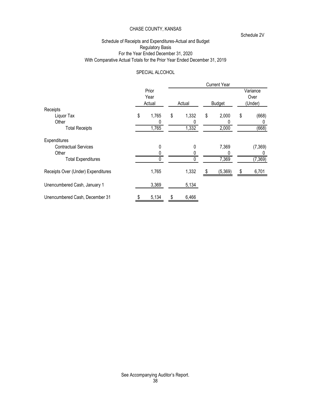Schedule 2V

## Schedule of Receipts and Expenditures-Actual and Budget Regulatory Basis For the Year Ended December 31, 2020 With Comparative Actual Totals for the Prior Year Ended December 31, 2019

#### SPECIAL ALCOHOL

|                                    |                         |             | <b>Current Year</b> |    |                             |
|------------------------------------|-------------------------|-------------|---------------------|----|-----------------------------|
|                                    | Prior<br>Year<br>Actual | Actual      | <b>Budget</b>       |    | Variance<br>Over<br>(Under) |
| Receipts                           |                         |             |                     |    |                             |
| Liquor Tax                         | \$<br>1,765             | \$<br>1,332 | \$<br>2,000         | \$ | (668)                       |
| Other                              |                         | 0           | 0                   |    |                             |
| <b>Total Receipts</b>              | 1,765                   | 1,332       | 2,000               |    | (668)                       |
| Expenditures                       |                         |             |                     |    |                             |
| <b>Contractual Services</b>        | 0                       | 0           | 7,369               |    | (7,369)                     |
| Other                              |                         |             | 0                   |    |                             |
| <b>Total Expenditures</b>          |                         |             | 7,369               |    | (7, 369)                    |
| Receipts Over (Under) Expenditures | 1,765                   | 1,332       | (5,369)             | S  | 6,701                       |
| Unencumbered Cash, January 1       | 3,369                   | 5,134       |                     |    |                             |
| Unencumbered Cash, December 31     | 5,134                   | \$<br>6,466 |                     |    |                             |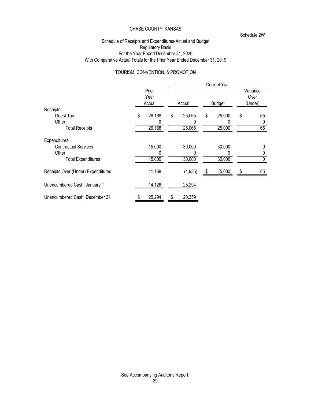Schedule 2W

## Schedule of Receipts and Expenditures-Actual and Budget Regulatory Basis For the Year Ended December 31, 2020 With Comparative Actual Totals for the Prior Year Ended December 31, 2019

#### TOURISM, CONVENTION, & PROMOTION

|                                    |                         |              |   | <b>Current Year</b> |                             |
|------------------------------------|-------------------------|--------------|---|---------------------|-----------------------------|
|                                    | Prior<br>Year<br>Actual | Actual       |   | <b>Budget</b>       | Variance<br>Over<br>(Under) |
| Receipts                           |                         |              |   |                     |                             |
| Guest Tax                          | \$<br>26,168            | \$<br>25,065 | S | 25,000              | \$<br>65                    |
| Other                              | 0                       |              |   |                     |                             |
| <b>Total Receipts</b>              | 26,168                  | 25,065       |   | 25,000              | 65                          |
| Expenditures                       |                         |              |   |                     |                             |
| <b>Contractual Services</b>        | 15,000                  | 30,000       |   | 30,000              | 0                           |
| Other                              | 0                       | 0            |   |                     |                             |
| <b>Total Expenditures</b>          | 15,000                  | 30,000       |   | 30,000              |                             |
| Receipts Over (Under) Expenditures | 11,168                  | (4, 935)     |   | (5,000)             | \$<br>65                    |
| Unencumbered Cash, January 1       | 14,126                  | 25,294       |   |                     |                             |
| Unencumbered Cash, December 31     | 25,294                  | \$<br>20,359 |   |                     |                             |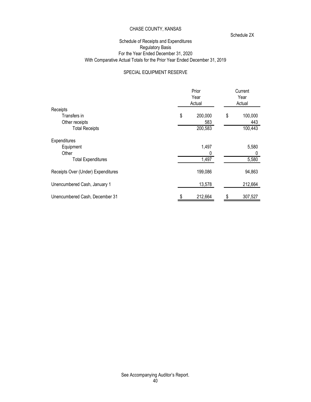Schedule 2X

## Schedule of Receipts and Expenditures Regulatory Basis For the Year Ended December 31, 2020 With Comparative Actual Totals for the Prior Year Ended December 31, 2019

# SPECIAL EQUIPMENT RESERVE

|                                    | Prior<br>Year<br>Actual | Current<br>Year<br>Actual |         |  |
|------------------------------------|-------------------------|---------------------------|---------|--|
| Receipts                           |                         |                           |         |  |
| Transfers in                       | \$<br>200,000           | \$                        | 100,000 |  |
| Other receipts                     | 583                     |                           | 443     |  |
| <b>Total Receipts</b>              | 200,583                 |                           | 100,443 |  |
| Expenditures                       |                         |                           |         |  |
| Equipment                          | 1,497                   |                           | 5,580   |  |
| Other                              | 0                       |                           |         |  |
| <b>Total Expenditures</b>          | 1,497                   |                           | 5,580   |  |
| Receipts Over (Under) Expenditures | 199,086                 |                           | 94,863  |  |
| Unencumbered Cash, January 1       | 13,578                  |                           | 212,664 |  |
| Unencumbered Cash, December 31     | 212,664                 | \$                        | 307,527 |  |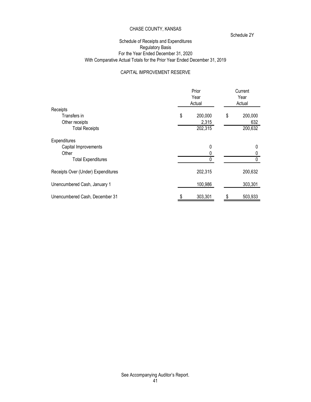Schedule 2Y

## Schedule of Receipts and Expenditures Regulatory Basis For the Year Ended December 31, 2020 With Comparative Actual Totals for the Prior Year Ended December 31, 2019

#### CAPITAL IMPROVEMENT RESERVE

|                                    | Prior<br>Year<br>Actual | Current<br>Year<br>Actual |         |  |
|------------------------------------|-------------------------|---------------------------|---------|--|
| Receipts                           |                         |                           |         |  |
| Transfers in                       | \$<br>200,000           | \$                        | 200,000 |  |
| Other receipts                     | 2,315                   |                           | 632     |  |
| <b>Total Receipts</b>              | 202,315                 |                           | 200,632 |  |
| Expenditures                       |                         |                           |         |  |
| Capital Improvements               | 0                       |                           | 0       |  |
| Other                              |                         |                           |         |  |
| <b>Total Expenditures</b>          |                         |                           |         |  |
| Receipts Over (Under) Expenditures | 202,315                 |                           | 200,632 |  |
| Unencumbered Cash, January 1       | 100,986                 |                           | 303,301 |  |
| Unencumbered Cash, December 31     | 303,301                 |                           | 503,933 |  |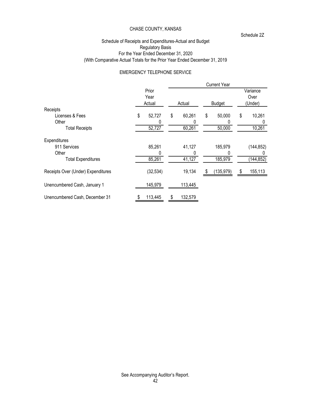Schedule 2Z

## Schedule of Receipts and Expenditures-Actual and Budget Regulatory Basis For the Year Ended December 31, 2020 (With Comparative Actual Totals for the Prior Year Ended December 31, 2019

#### EMERGENCY TELEPHONE SERVICE

|                                    |                         |    |          |    | <b>Current Year</b> |                             |
|------------------------------------|-------------------------|----|----------|----|---------------------|-----------------------------|
|                                    | Prior<br>Year<br>Actual |    | Actual   |    | <b>Budget</b>       | Variance<br>Over<br>(Under) |
| Receipts                           |                         |    |          |    |                     |                             |
| Licenses & Fees                    | \$<br>52,727            | \$ | 60,261   | \$ | 50,000              | \$<br>10,261                |
| Other                              | 0                       |    |          |    |                     |                             |
| <b>Total Receipts</b>              | 52,727                  |    | 60,261   |    | 50,000              | 10,261                      |
| Expenditures                       |                         |    |          |    |                     |                             |
| 911 Services                       | 85,261                  |    | 41,127   |    | 185,979             | (144, 852)                  |
| Other                              | 0                       |    | $\Omega$ |    |                     |                             |
| <b>Total Expenditures</b>          | 85,261                  |    | 41,127   |    | 185,979             | (144, 852)                  |
| Receipts Over (Under) Expenditures | (32, 534)               |    | 19,134   | 55 | (135, 979)          | \$<br>155,113               |
| Unencumbered Cash, January 1       | 145,979                 |    | 113,445  |    |                     |                             |
| Unencumbered Cash, December 31     | 113,445                 | S  | 132,579  |    |                     |                             |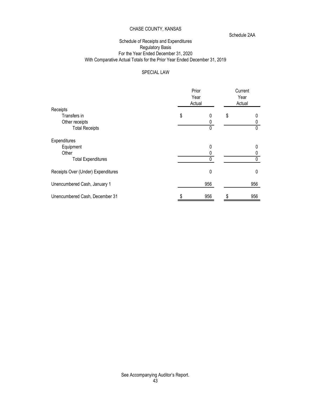Schedule 2AA

## Schedule of Receipts and Expenditures Regulatory Basis For the Year Ended December 31, 2020 With Comparative Actual Totals for the Prior Year Ended December 31, 2019

# SPECIAL LAW

|                                    | Prior<br>Year<br>Actual |     | Current<br>Year<br>Actual |
|------------------------------------|-------------------------|-----|---------------------------|
| Receipts                           |                         |     |                           |
| Transfers in                       | \$                      | 0   | \$                        |
| Other receipts                     |                         | 0   |                           |
| <b>Total Receipts</b>              |                         | 0   |                           |
| Expenditures                       |                         |     |                           |
| Equipment                          |                         | 0   |                           |
| Other                              |                         |     |                           |
| <b>Total Expenditures</b>          |                         |     |                           |
| Receipts Over (Under) Expenditures |                         | 0   | $\mathbf{0}$              |
| Unencumbered Cash, January 1       |                         | 956 | 956                       |
| Unencumbered Cash, December 31     |                         | 956 | 956                       |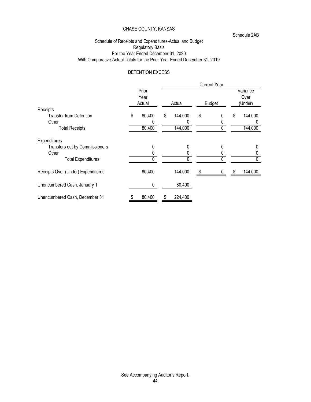Schedule 2AB

## Schedule of Receipts and Expenditures-Actual and Budget Regulatory Basis For the Year Ended December 31, 2020 With Comparative Actual Totals for the Prior Year Ended December 31, 2019

# DETENTION EXCESS

|                                    |   |               |    |         | <b>Current Year</b> |    |                  |
|------------------------------------|---|---------------|----|---------|---------------------|----|------------------|
|                                    |   | Prior<br>Year |    |         |                     |    | Variance<br>Over |
|                                    |   | Actual        |    | Actual  | <b>Budget</b>       |    | (Under)          |
| Receipts                           |   |               |    |         |                     |    |                  |
| <b>Transfer from Detention</b>     | S | 80,400        | \$ | 144,000 | \$<br>0             | \$ | 144,000          |
| Other                              |   | 0             |    |         |                     |    |                  |
| <b>Total Receipts</b>              |   | 80,400        |    | 144,000 |                     |    | 144,000          |
| Expenditures                       |   |               |    |         |                     |    |                  |
| Transfers out by Commissioners     |   | 0             |    | 0       | 0                   |    | 0                |
| Other                              |   |               |    |         |                     |    |                  |
| <b>Total Expenditures</b>          |   | 0             |    | 0       | U                   |    |                  |
| Receipts Over (Under) Expenditures |   | 80,400        |    | 144,000 | 0                   | S. | 144,000          |
| Unencumbered Cash, January 1       |   | 0             |    | 80,400  |                     |    |                  |
| Unencumbered Cash, December 31     |   | 80,400        | S  | 224,400 |                     |    |                  |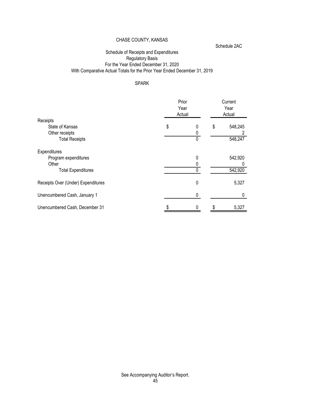Schedule 2AC

# Schedule of Receipts and Expenditures Regulatory Basis For the Year Ended December 31, 2020 With Comparative Actual Totals for the Prior Year Ended December 31, 2019

# SPARK

|                                    | Prior<br>Year<br>Actual |   | Current<br>Year<br>Actual |
|------------------------------------|-------------------------|---|---------------------------|
| Receipts                           |                         |   |                           |
| State of Kansas                    | \$                      | 0 | \$<br>548,245             |
| Other receipts                     |                         |   |                           |
| <b>Total Receipts</b>              |                         | 0 | 548,247                   |
| Expenditures                       |                         |   |                           |
| Program expenditures               |                         | 0 | 542,920                   |
| Other                              |                         |   |                           |
| <b>Total Expenditures</b>          |                         |   | 542,920                   |
| Receipts Over (Under) Expenditures |                         | 0 | 5,327                     |
| Unencumbered Cash, January 1       |                         | 0 |                           |
| Unencumbered Cash, December 31     |                         |   | 5,327                     |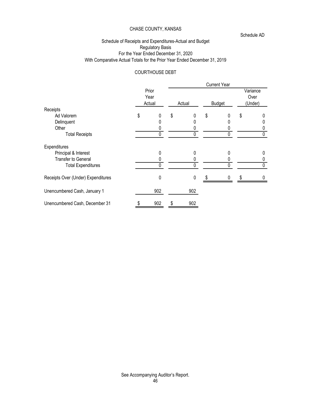Schedule AD

## Schedule of Receipts and Expenditures-Actual and Budget Regulatory Basis For the Year Ended December 31, 2020 With Comparative Actual Totals for the Prior Year Ended December 31, 2019

# COURTHOUSE DEBT

|                                    |                         |           | <b>Current Year</b> |                             |
|------------------------------------|-------------------------|-----------|---------------------|-----------------------------|
|                                    | Prior<br>Year<br>Actual | Actual    | <b>Budget</b>       | Variance<br>Over<br>(Under) |
| Receipts                           |                         |           |                     |                             |
| Ad Valorem                         | \$<br>0                 | \$        | \$<br>0             | \$                          |
| Delinquent                         |                         |           |                     |                             |
| Other                              |                         |           |                     |                             |
| <b>Total Receipts</b>              |                         | 0         |                     |                             |
| Expenditures                       |                         |           |                     |                             |
| Principal & Interest               |                         | O         | 0                   |                             |
| Transfer to General                |                         |           |                     |                             |
| <b>Total Expenditures</b>          | 0                       | 0         |                     |                             |
| Receipts Over (Under) Expenditures | 0                       | $\pmb{0}$ |                     |                             |
| Unencumbered Cash, January 1       | 902                     | 902       |                     |                             |
| Unencumbered Cash, December 31     | 902                     | \$<br>902 |                     |                             |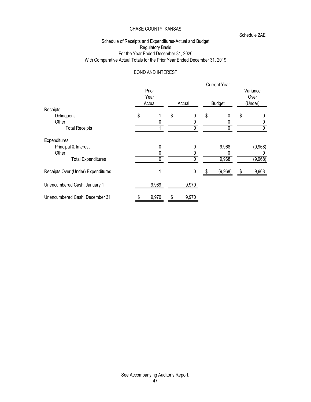Schedule 2AE

## Schedule of Receipts and Expenditures-Actual and Budget Regulatory Basis For the Year Ended December 31, 2020 With Comparative Actual Totals for the Prior Year Ended December 31, 2019

# BOND AND INTEREST

|                                    |   |                         |    |                  | <b>Current Year</b> |    |                             |
|------------------------------------|---|-------------------------|----|------------------|---------------------|----|-----------------------------|
|                                    |   | Prior<br>Year<br>Actual |    | Actual           | <b>Budget</b>       |    | Variance<br>Over<br>(Under) |
| Receipts                           |   |                         |    |                  |                     |    |                             |
| Delinquent                         | S |                         | \$ | U                | \$<br>0             | \$ | 0                           |
| Other                              |   |                         |    |                  |                     |    |                             |
| <b>Total Receipts</b>              |   |                         |    | 0                |                     |    |                             |
| Expenditures                       |   |                         |    |                  |                     |    |                             |
| Principal & Interest               |   | $\mathbf 0$             |    | 0                | 9,968               |    | (9,968)                     |
| Other                              |   |                         |    |                  |                     |    |                             |
| <b>Total Expenditures</b>          |   |                         |    |                  | 9,968               |    | (9,968)                     |
| Receipts Over (Under) Expenditures |   |                         |    | $\boldsymbol{0}$ | (9,968)             | S  | 9,968                       |
| Unencumbered Cash, January 1       |   | 9,969                   |    | 9,970            |                     |    |                             |
| Unencumbered Cash, December 31     |   | 9,970                   | S  | 9,970            |                     |    |                             |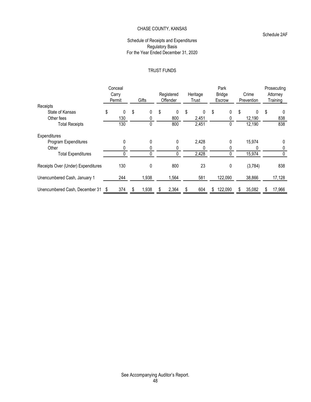#### Schedule 2AF

#### Schedule of Receipts and Expenditures Regulatory Basis For the Year Ended December 31, 2020

## TRUST FUNDS

|                                    | Conceal |             |             |    |          |    | Park          |              | Prosecuting  |  |
|------------------------------------|---------|-------------|-------------|----|----------|----|---------------|--------------|--------------|--|
|                                    | Carry   |             | Registered  |    | Heritage |    | <b>Bridge</b> | Crime        | Attorney     |  |
|                                    | Permit  | Gifts       | Offender    |    | Trust    |    | Escrow        | Prevention   | Training     |  |
| Receipts                           |         |             |             |    |          |    |               |              |              |  |
| State of Kansas                    | \$<br>0 | \$<br>0     | \$<br>0     | \$ | $\Omega$ | \$ | 0             | \$<br>0      | \$<br>0      |  |
| Other fees                         | 130     | 0           | 800         |    | 2,451    |    |               | 12,190       | 838          |  |
| <b>Total Receipts</b>              | 130     | 0           | 800         |    | 2,451    |    |               | 12,190       | 838          |  |
| Expenditures                       |         |             |             |    |          |    |               |              |              |  |
| Program Expenditures               | 0       | 0           | 0           |    | 2,428    |    |               | 15,974       | 0            |  |
| Other                              |         |             | 0           |    |          |    |               |              |              |  |
| <b>Total Expenditures</b>          |         |             | 0           |    | 2,428    |    |               | 15,974       |              |  |
| Receipts Over (Under) Expenditures | 130     | 0           | 800         |    | 23       |    | 0             | (3,784)      | 838          |  |
| Unencumbered Cash, January 1       | 244     | 1,938       | 1,564       |    | 581      |    | 122,090       | 38,866       | 17,128       |  |
| Unencumbered Cash, December 31 \$  | 374     | \$<br>1,938 | \$<br>2,364 | S  | 604      | S. | 122,090       | \$<br>35,082 | \$<br>17,966 |  |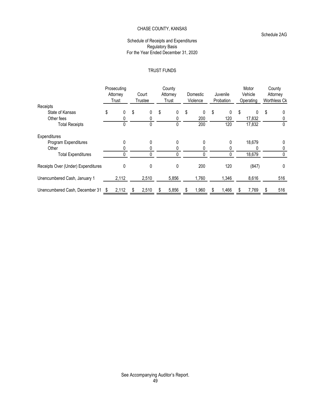#### Schedule 2AG

#### Schedule of Receipts and Expenditures Regulatory Basis For the Year Ended December 31, 2020

## TRUST FUNDS

|                                    | Prosecuting<br>Attorney<br>Trust | Court<br>Trustee | County<br>Attorney<br>Trust | Domestic<br>Violence |   | Juvenile<br>Probation |   | Motor<br>Vehicle<br>Operating |   | County<br>Attorney<br>Worthless Ck |  |
|------------------------------------|----------------------------------|------------------|-----------------------------|----------------------|---|-----------------------|---|-------------------------------|---|------------------------------------|--|
| Receipts                           |                                  |                  |                             |                      |   |                       |   |                               |   |                                    |  |
| State of Kansas                    | \$<br>0                          | \$<br>0          | \$<br>0                     | \$<br>$\Omega$       | S | 0                     | S | 0                             | S | 0                                  |  |
| Other fees                         |                                  | 0                |                             | 200                  |   | 120                   |   | 17,832                        |   |                                    |  |
| <b>Total Receipts</b>              | 0                                | 0                |                             | 200                  |   | 120                   |   | 17,832                        |   |                                    |  |
| Expenditures                       |                                  |                  |                             |                      |   |                       |   |                               |   |                                    |  |
| Program Expenditures               | 0                                | 0                | 0                           |                      |   | 0                     |   | 18,679                        |   | 0                                  |  |
| Other                              |                                  |                  |                             |                      |   |                       |   |                               |   |                                    |  |
| <b>Total Expenditures</b>          |                                  |                  |                             |                      |   |                       |   | 18,679                        |   |                                    |  |
| Receipts Over (Under) Expenditures | 0                                | 0                | 0                           | 200                  |   | 120                   |   | (847)                         |   | 0                                  |  |
| Unencumbered Cash, January 1       | 2,112                            | 2,510            | 5,856                       | 1,760                |   | 1,346                 |   | 8,616                         |   | 516                                |  |
| Unencumbered Cash, December 31 \$  | 2,112                            | 2,510            | 5,856                       | 1,960                |   | 1,466                 |   | 7,769                         |   | 516                                |  |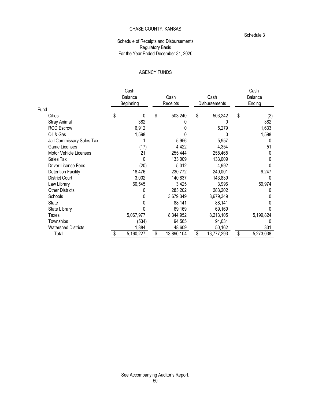#### Schedule 3

# Schedule of Receipts and Disbursements Regulatory Basis For the Year Ended December 31, 2020

# AGENCY FUNDS

|                            | Cash      |          |            |                      | Cash      |  |  |
|----------------------------|-----------|----------|------------|----------------------|-----------|--|--|
|                            | Balance   |          | Cash       | Cash                 | Balance   |  |  |
|                            | Beginning | Receipts |            | <b>Disbursements</b> | Ending    |  |  |
| Fund                       |           |          |            |                      |           |  |  |
| Cities                     | \$<br>0   | \$       | 503,240    | \$<br>503,242        | \$<br>(2) |  |  |
| <b>Stray Animal</b>        | 382       |          |            |                      | 382       |  |  |
| <b>ROD Escrow</b>          | 6,912     |          |            | 5,279                | 1,633     |  |  |
| Oil & Gas                  | 1,598     |          |            |                      | 1,598     |  |  |
| Jail Commissary Sales Tax  |           |          | 5,956      | 5,957                | 0         |  |  |
| Game Licenses              | (17)      |          | 4,422      | 4,354                | 51        |  |  |
| Motor Vehicle Licenses     | 21        |          | 255,444    | 255,465              |           |  |  |
| Sales Tax                  |           |          | 133,009    | 133,009              |           |  |  |
| Driver License Fees        | (20)      |          | 5,012      | 4,992                |           |  |  |
| <b>Detention Facility</b>  | 18,476    |          | 230,772    | 240,001              | 9,247     |  |  |
| <b>District Court</b>      | 3,002     |          | 140,837    | 143,839              |           |  |  |
| Law Library                | 60,545    |          | 3,425      | 3,996                | 59,974    |  |  |
| <b>Other Districts</b>     |           |          | 283,202    | 283,202              |           |  |  |
| Schools                    |           |          | 3,679,349  | 3,679,349            |           |  |  |
| State                      |           |          | 88,141     | 88,141               |           |  |  |
| State Library              |           |          | 69,169     | 69,169               |           |  |  |
| Taxes                      | 5,067,977 |          | 8,344,952  | 8,213,105            | 5,199,824 |  |  |
| Townships                  | (534)     |          | 94,565     | 94,031               |           |  |  |
| <b>Watershed Districts</b> | 1,884     |          | 48,609     | 50,162               | 331       |  |  |
| Total                      | 5,160,227 |          | 13,890,104 | 13,777,293           | 5,273,038 |  |  |